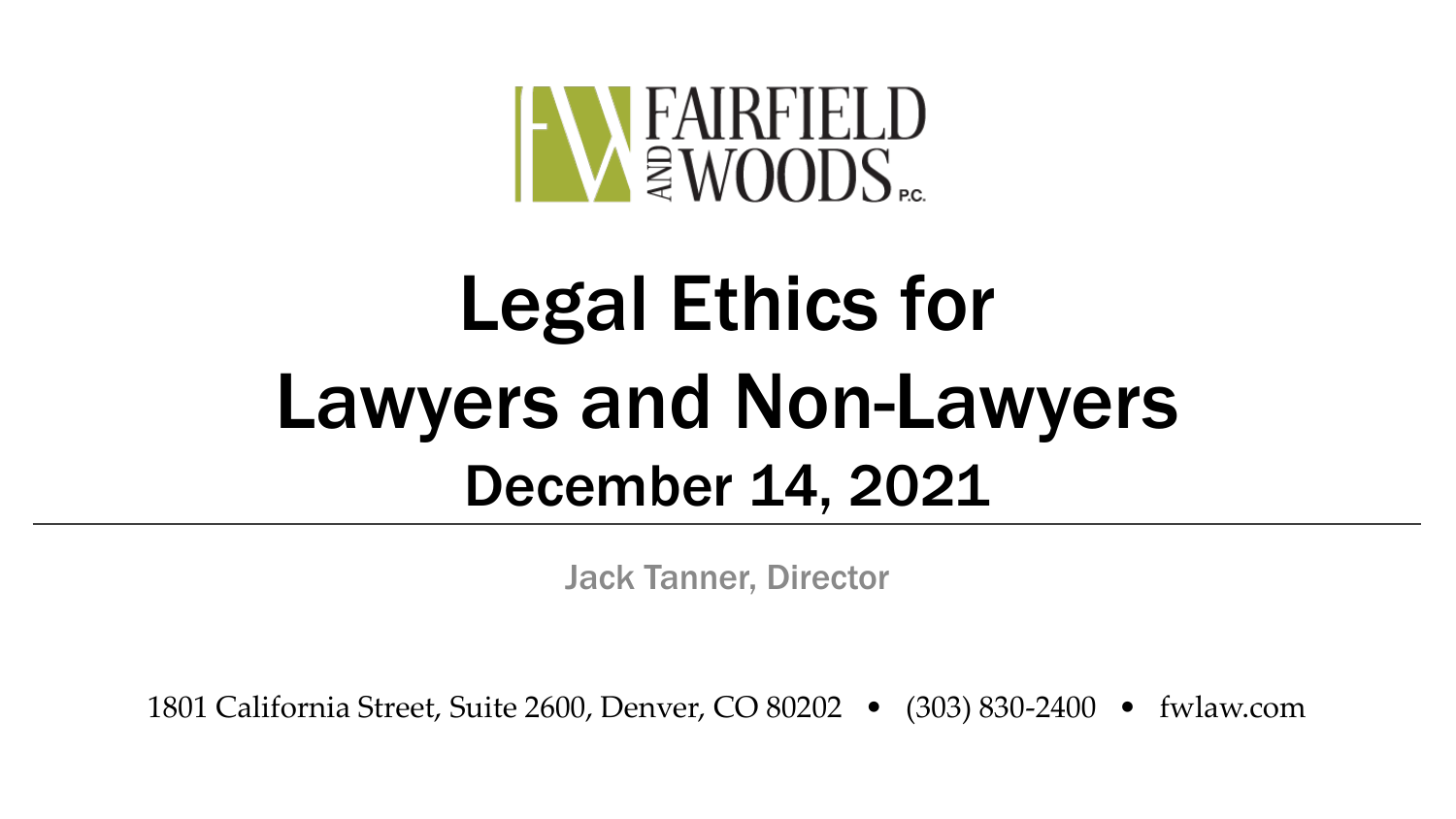

# Legal Ethics for Lawyers and Non-Lawyers December 14, 2021

Jack Tanner, Director

1801 California Street, Suite 2600, Denver, CO 80202 • (303) 830-2400 • fwlaw.com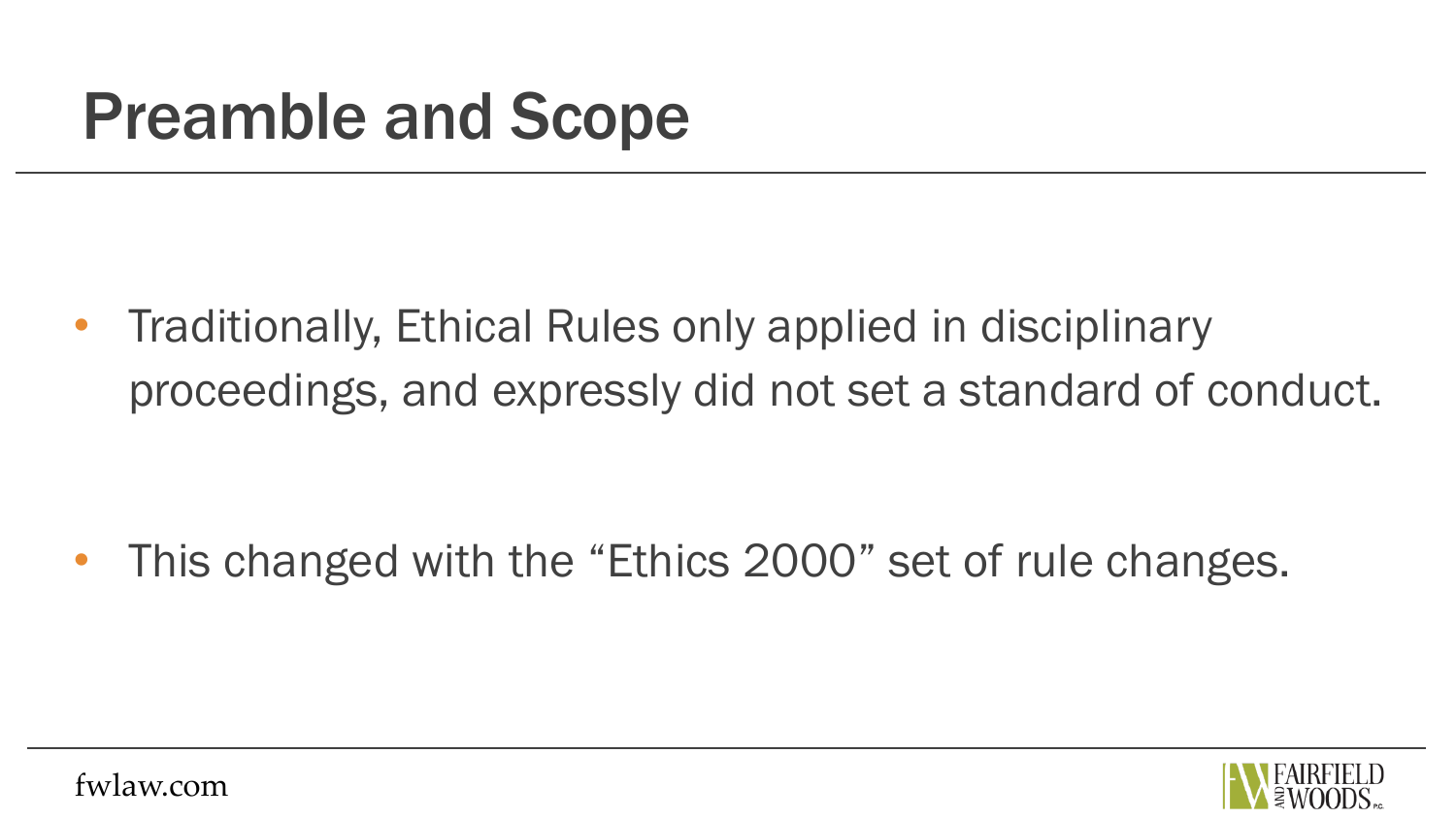#### Preamble and Scope

• Traditionally, Ethical Rules only applied in disciplinary proceedings, and expressly did not set a standard of conduct.

This changed with the "Ethics 2000" set of rule changes.

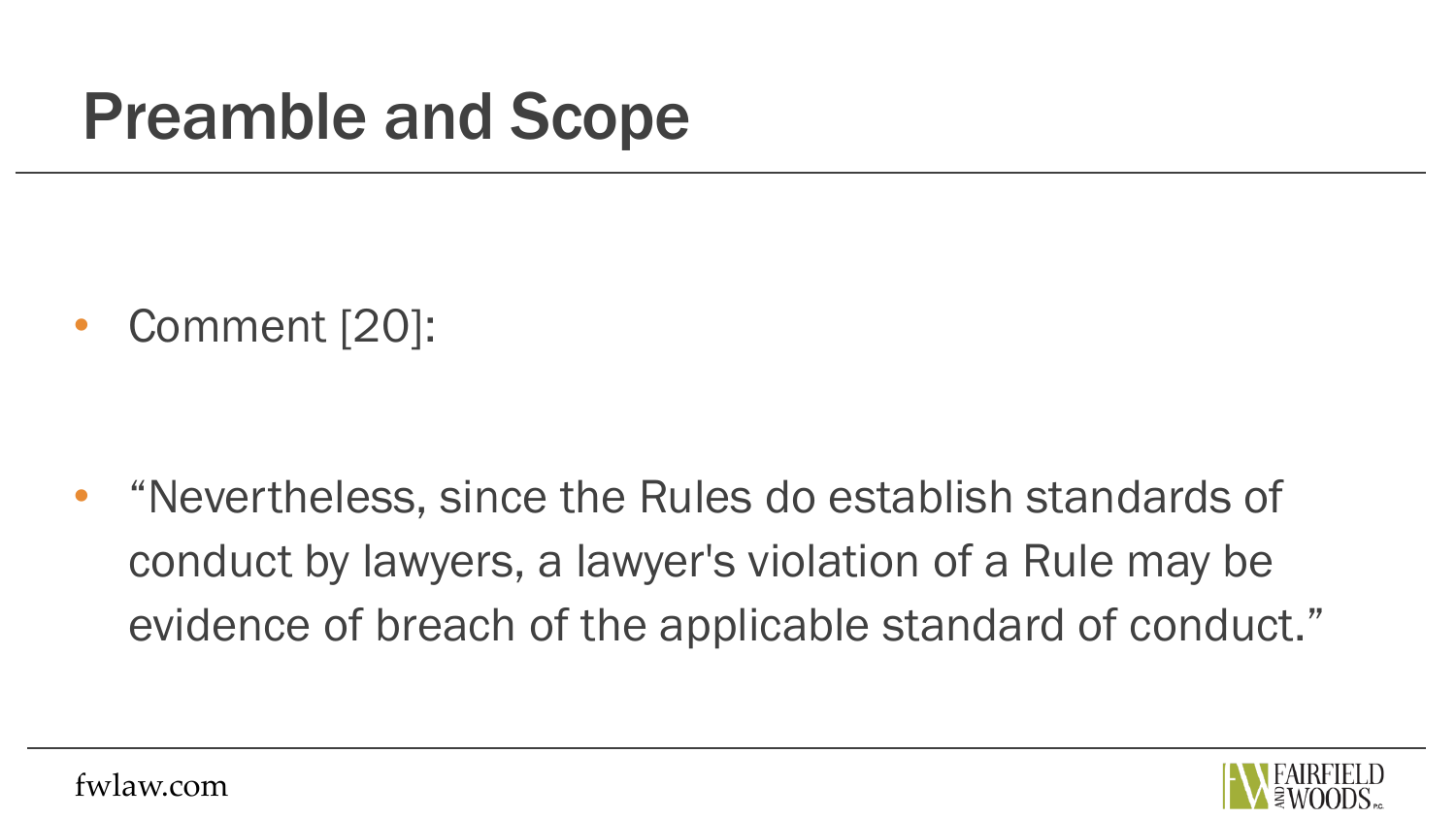#### Preamble and Scope

• Comment [20]:

• "Nevertheless, since the Rules do establish standards of conduct by lawyers, a lawyer's violation of a Rule may be evidence of breach of the applicable standard of conduct."

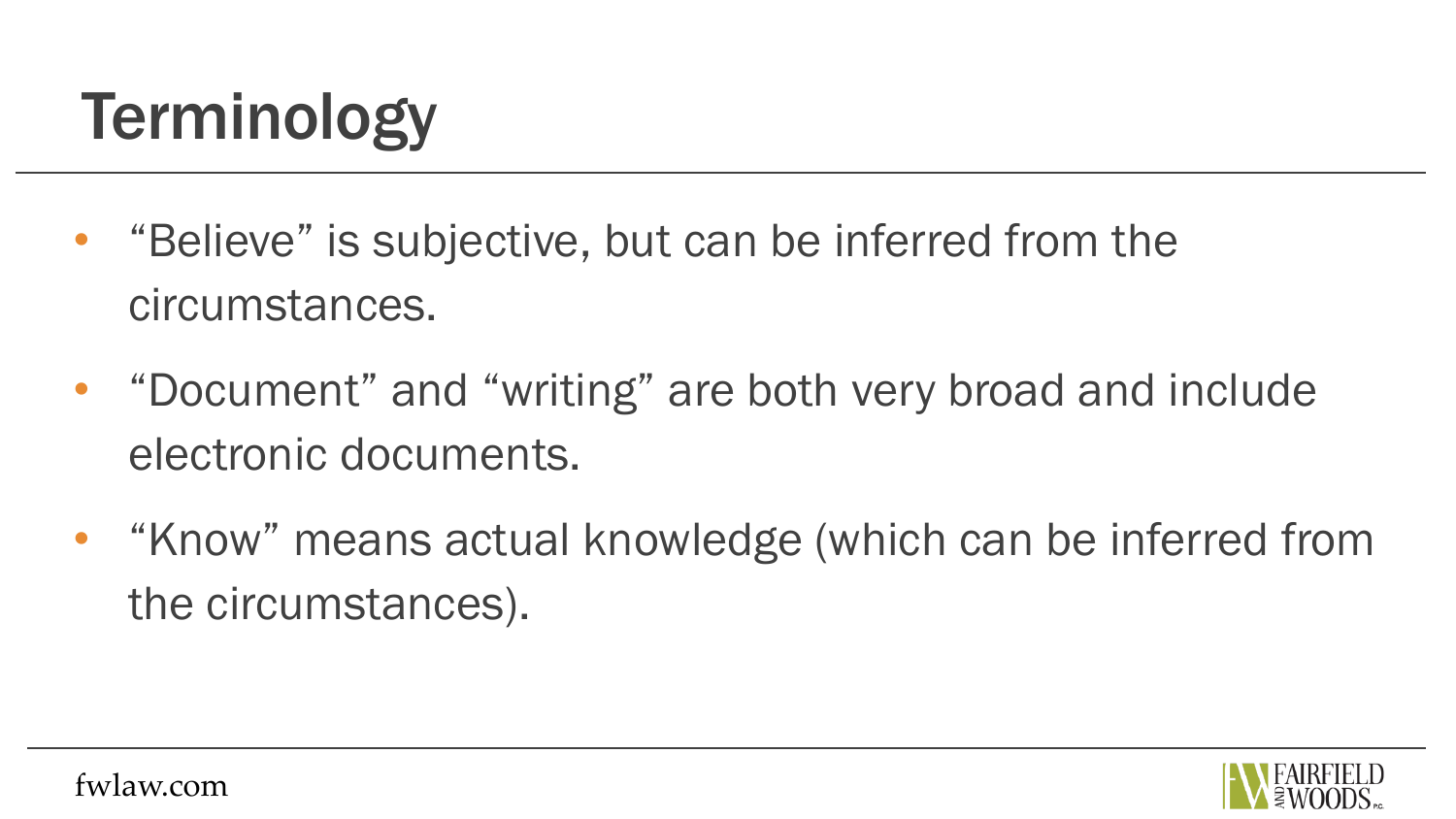## Terminology

- "Believe" is subjective, but can be inferred from the circumstances.
- "Document" and "writing" are both very broad and include electronic documents.
- "Know" means actual knowledge (which can be inferred from the circumstances).

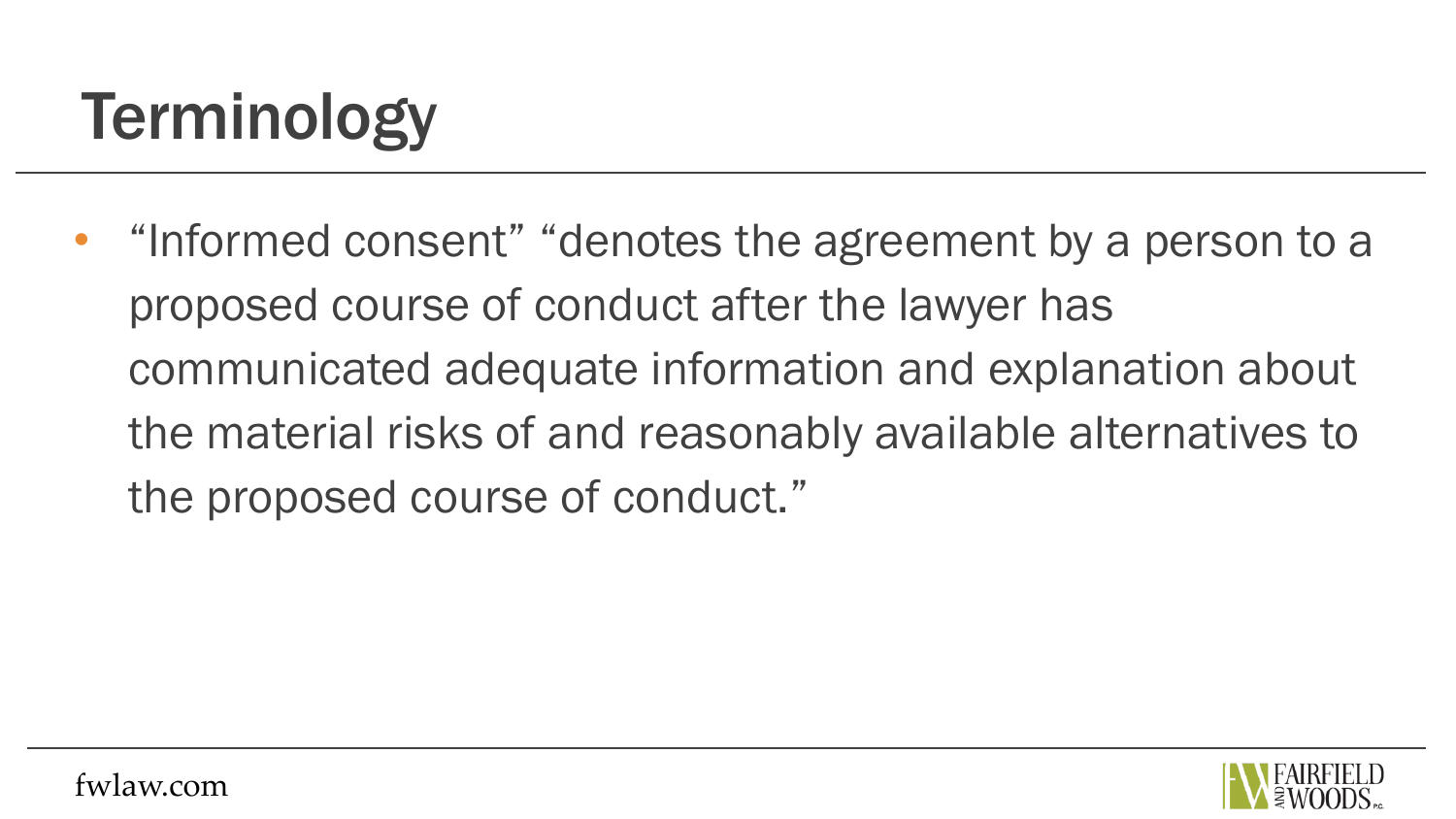## Terminology

• "Informed consent" "denotes the agreement by a person to a proposed course of conduct after the lawyer has communicated adequate information and explanation about the material risks of and reasonably available alternatives to the proposed course of conduct."

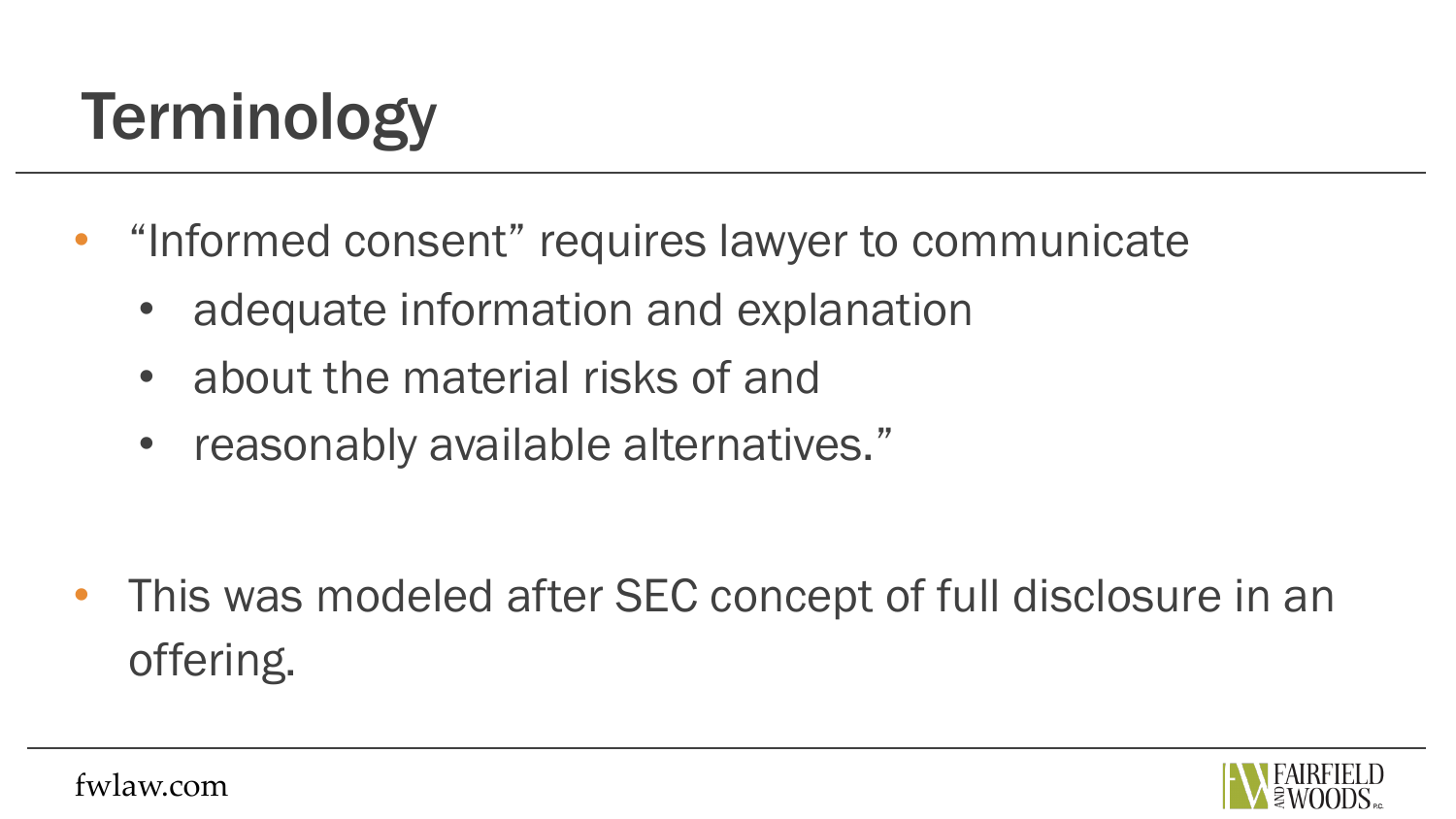## Terminology

- "Informed consent" requires lawyer to communicate
	- adequate information and explanation
	- about the material risks of and
	- reasonably available alternatives."

• This was modeled after SEC concept of full disclosure in an offering.

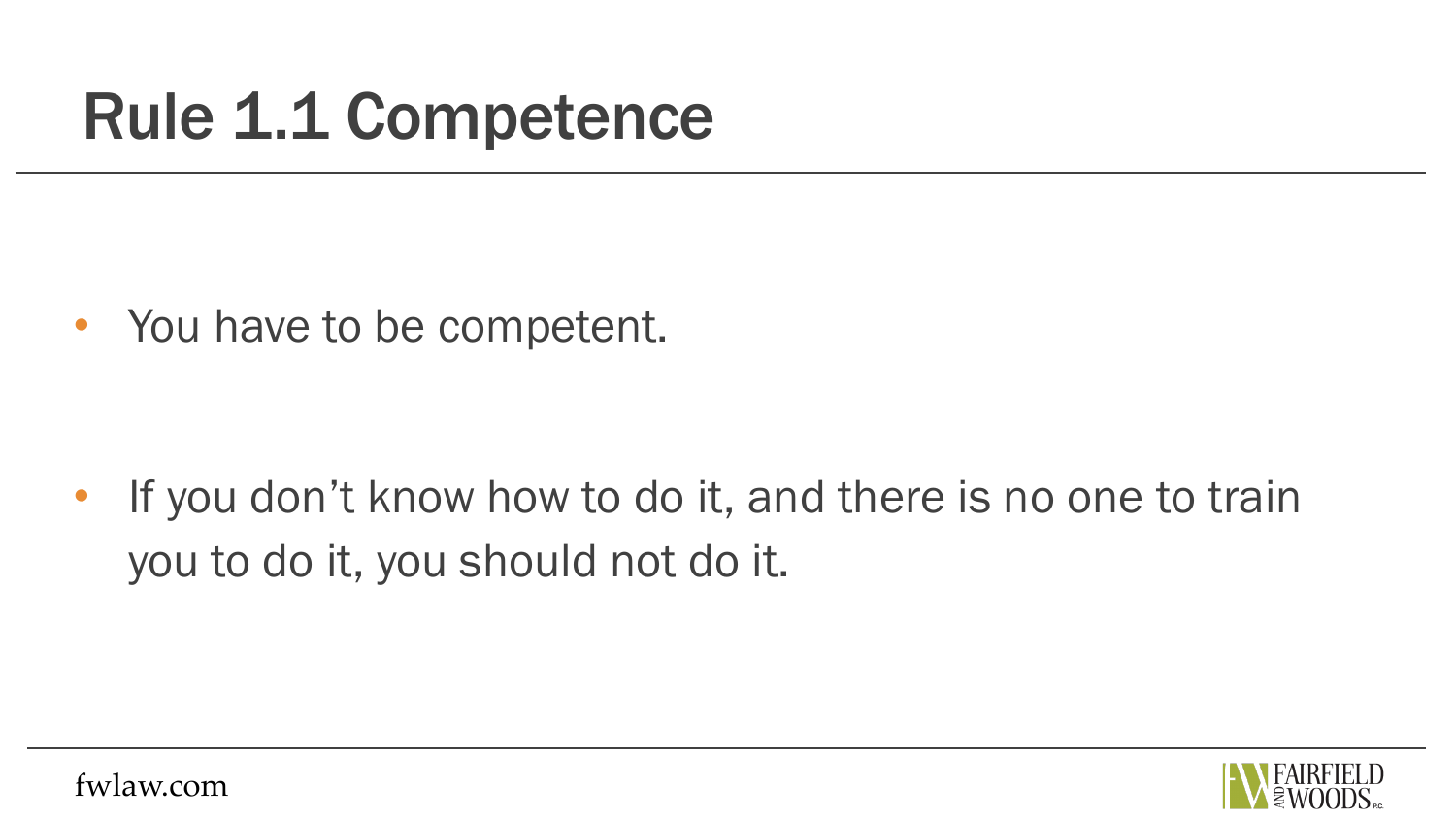#### Rule 1.1 Competence

• You have to be competent.

• If you don't know how to do it, and there is no one to train you to do it, you should not do it.

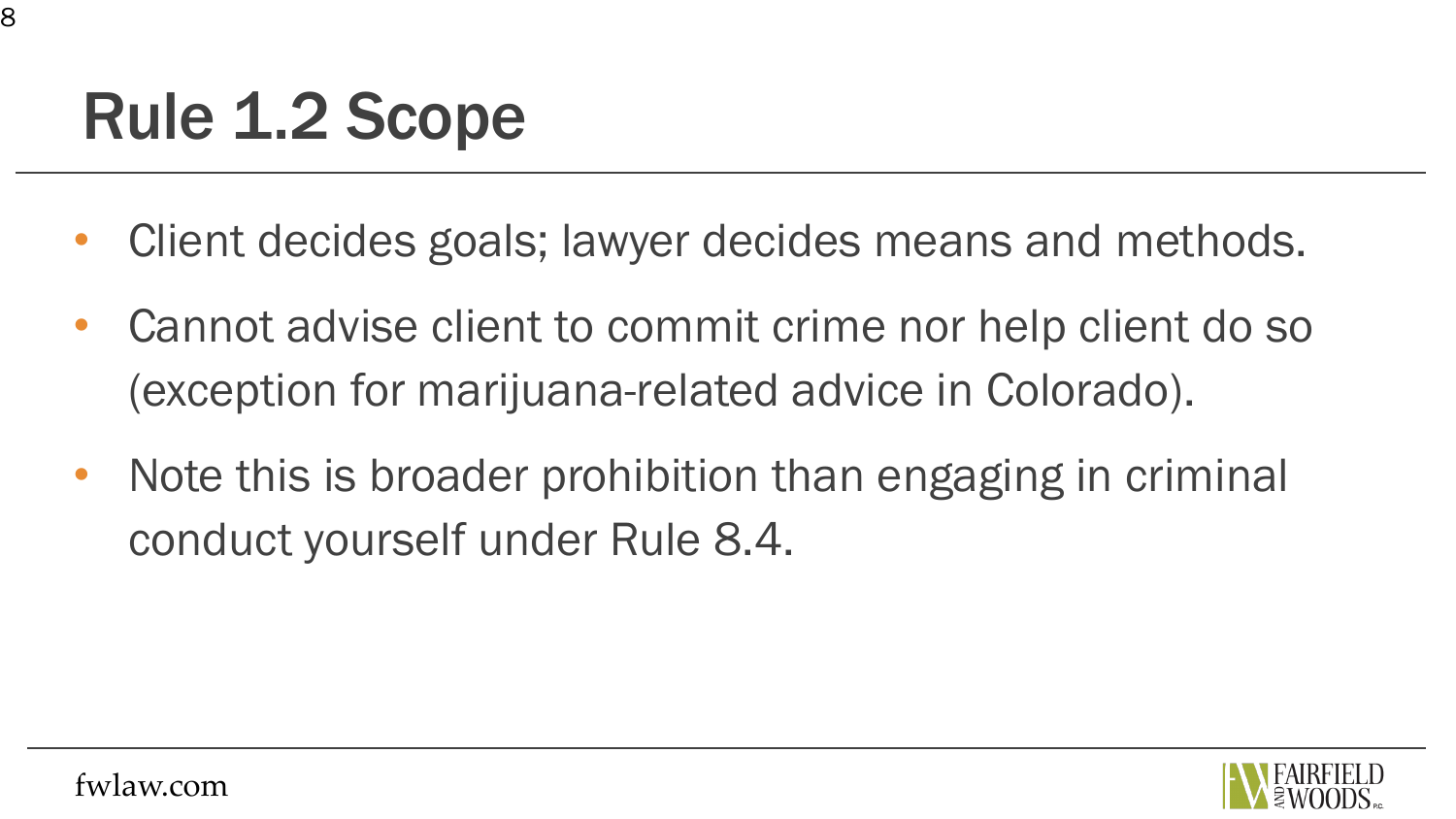#### Rule 1.2 Scope

- Client decides goals; lawyer decides means and methods.
- Cannot advise client to commit crime nor help client do so (exception for marijuana-related advice in Colorado).
- Note this is broader prohibition than engaging in criminal conduct yourself under Rule 8.4.

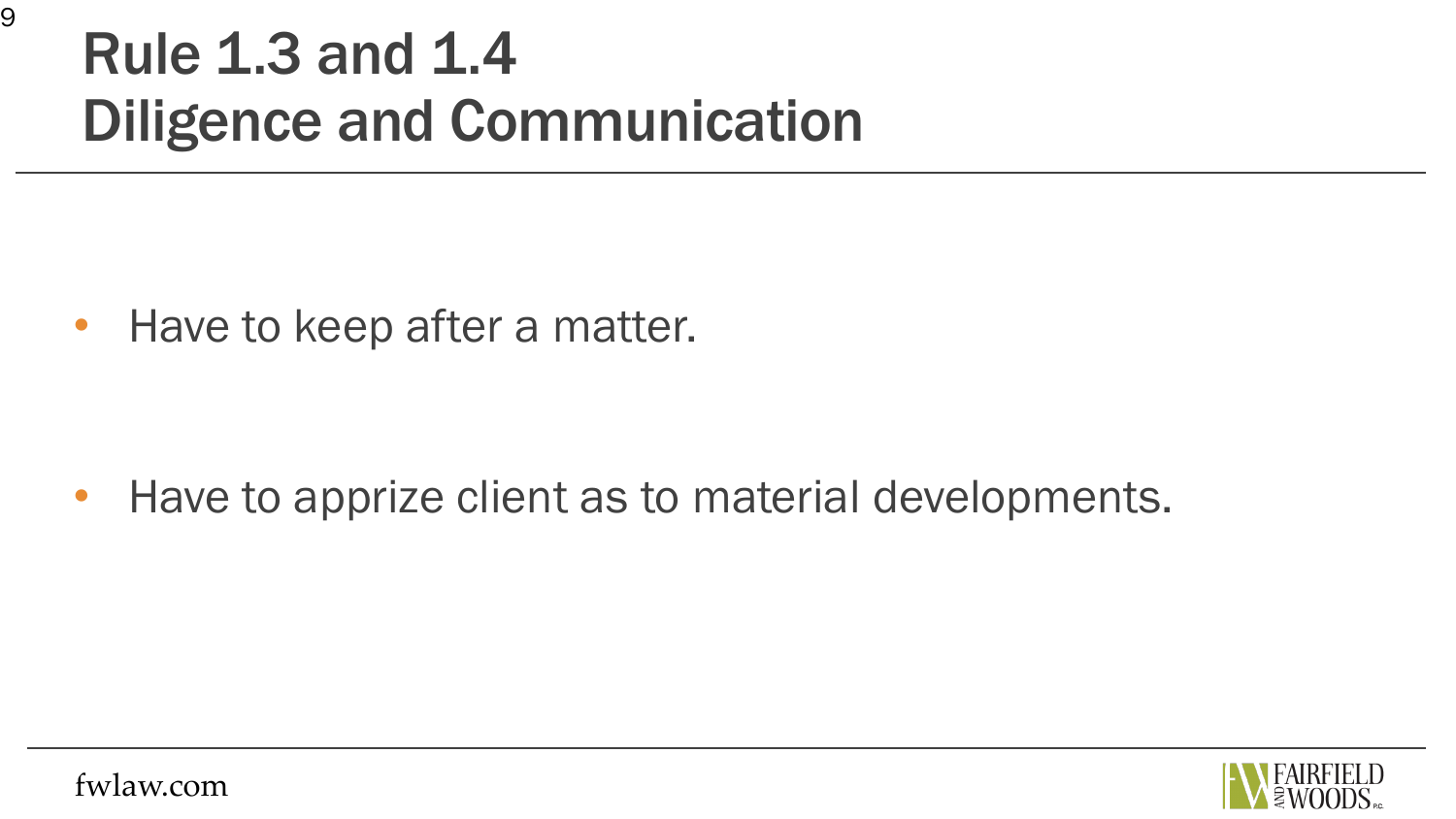#### Rule 1.3 and 1.4 Diligence and Communication

• Have to keep after a matter.

• Have to apprize client as to material developments.

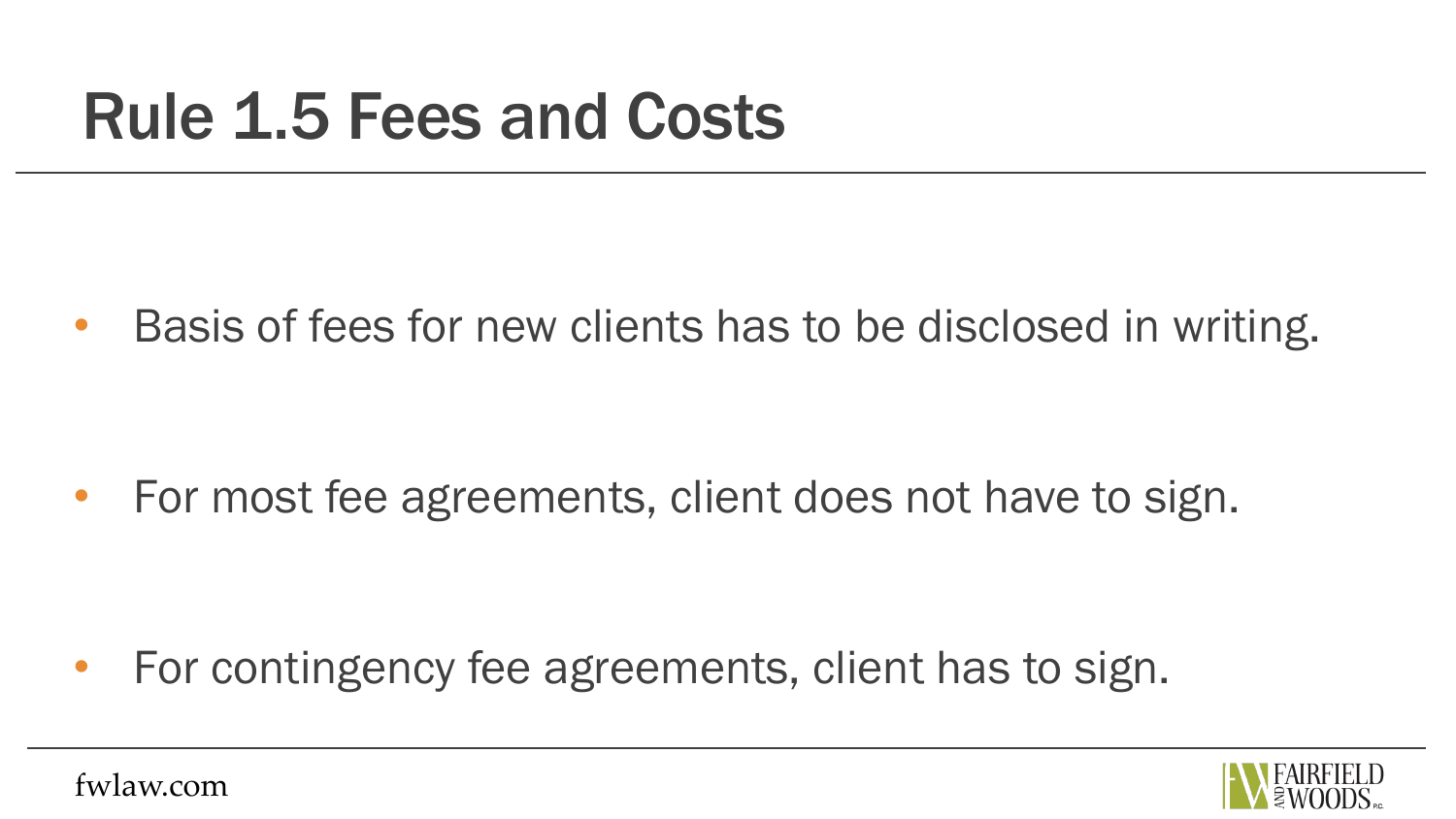#### Rule 1.5 Fees and Costs

• Basis of fees for new clients has to be disclosed in writing.

• For most fee agreements, client does not have to sign.

• For contingency fee agreements, client has to sign.

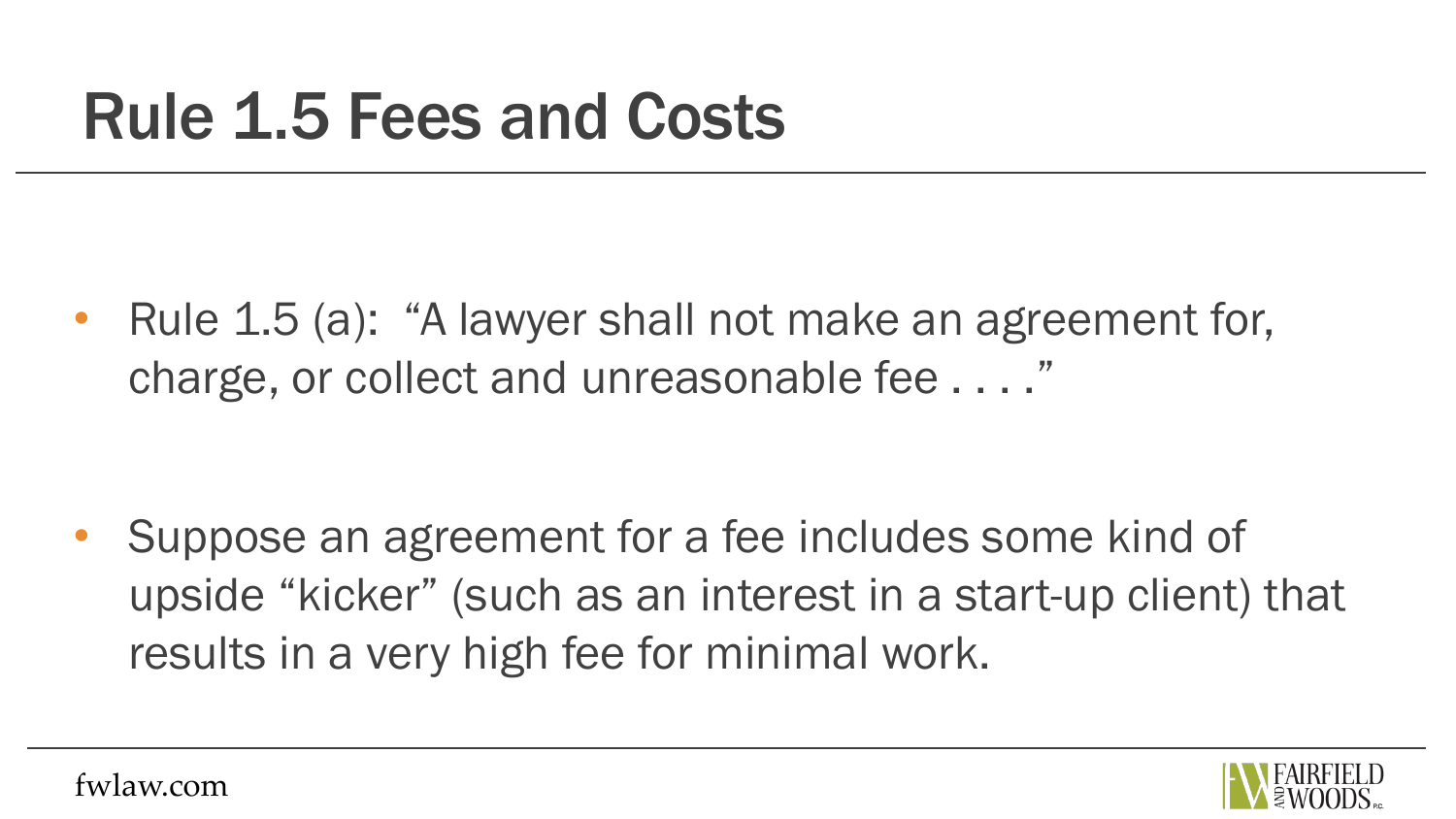#### Rule 1.5 Fees and Costs

Rule 1.5 (a): "A lawyer shall not make an agreement for, charge, or collect and unreasonable fee . . . ."

• Suppose an agreement for a fee includes some kind of upside "kicker" (such as an interest in a start-up client) that results in a very high fee for minimal work.

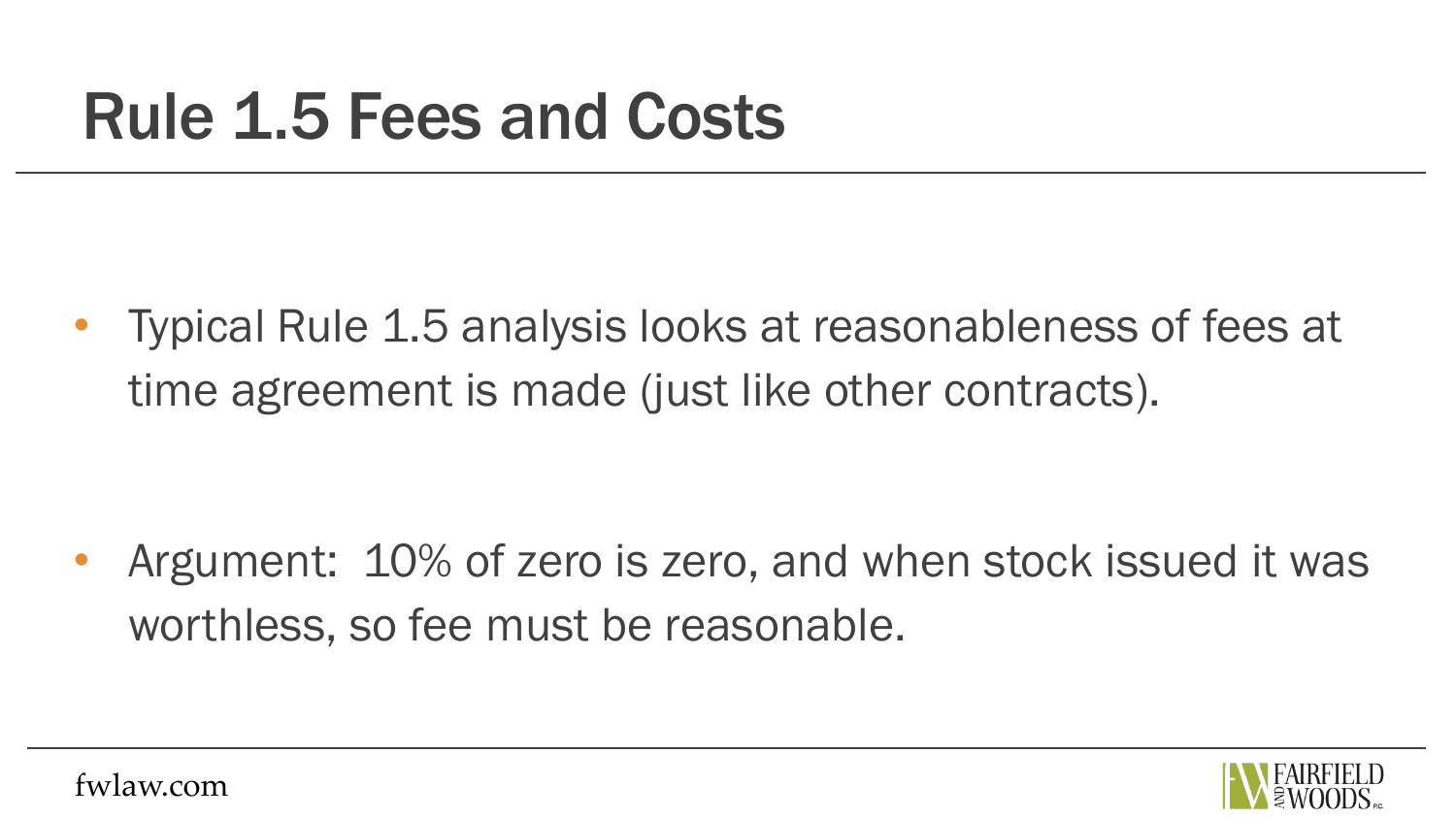#### Rule 1.5 Fees and Costs

• Typical Rule 1.5 analysis looks at reasonableness of fees at time agreement is made (just like other contracts).

Argument: 10% of zero is zero, and when stock issued it was worthless, so fee must be reasonable.

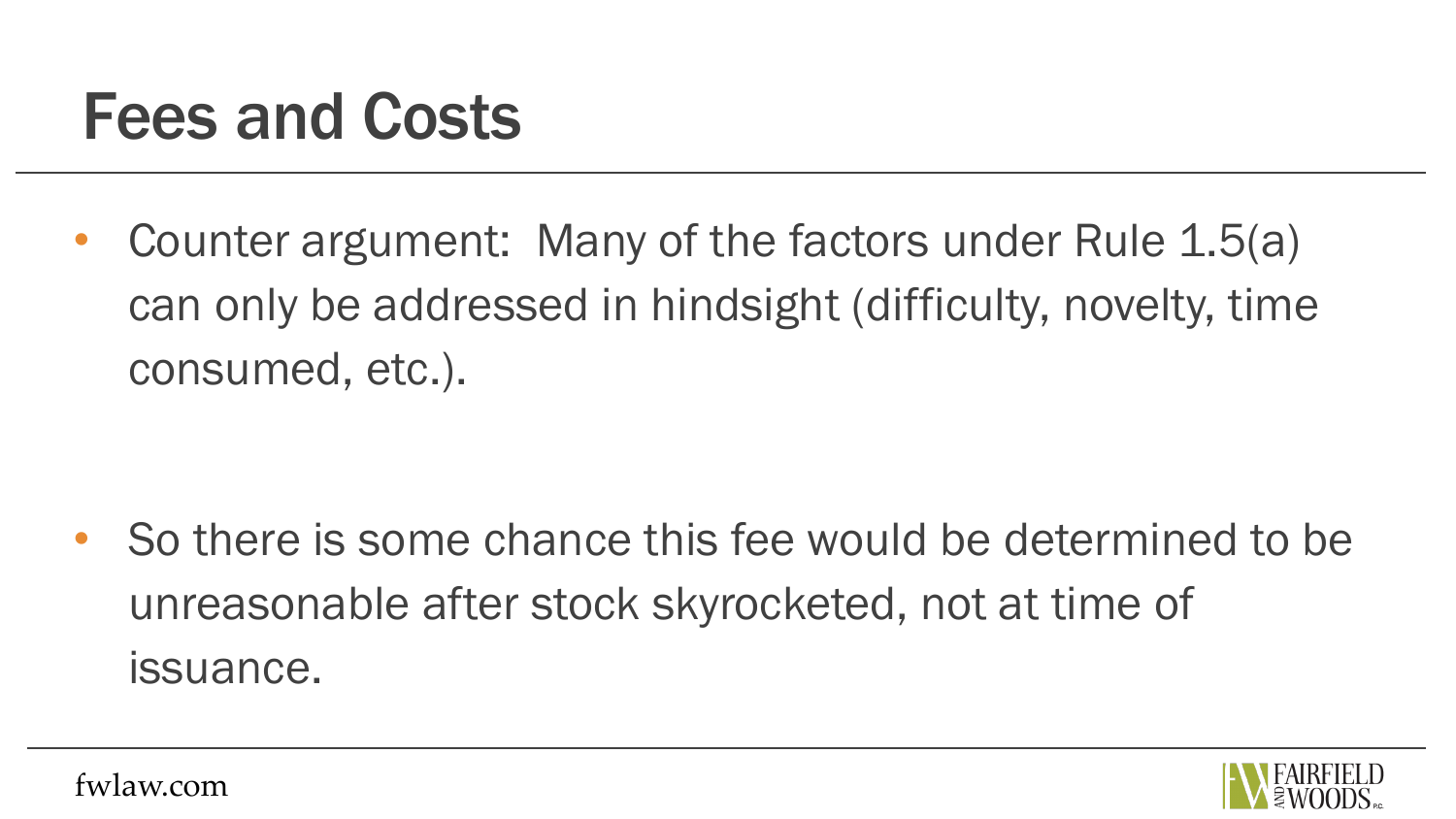#### Fees and Costs

• Counter argument: Many of the factors under Rule 1.5(a) can only be addressed in hindsight (difficulty, novelty, time consumed, etc.).

• So there is some chance this fee would be determined to be unreasonable after stock skyrocketed, not at time of issuance.

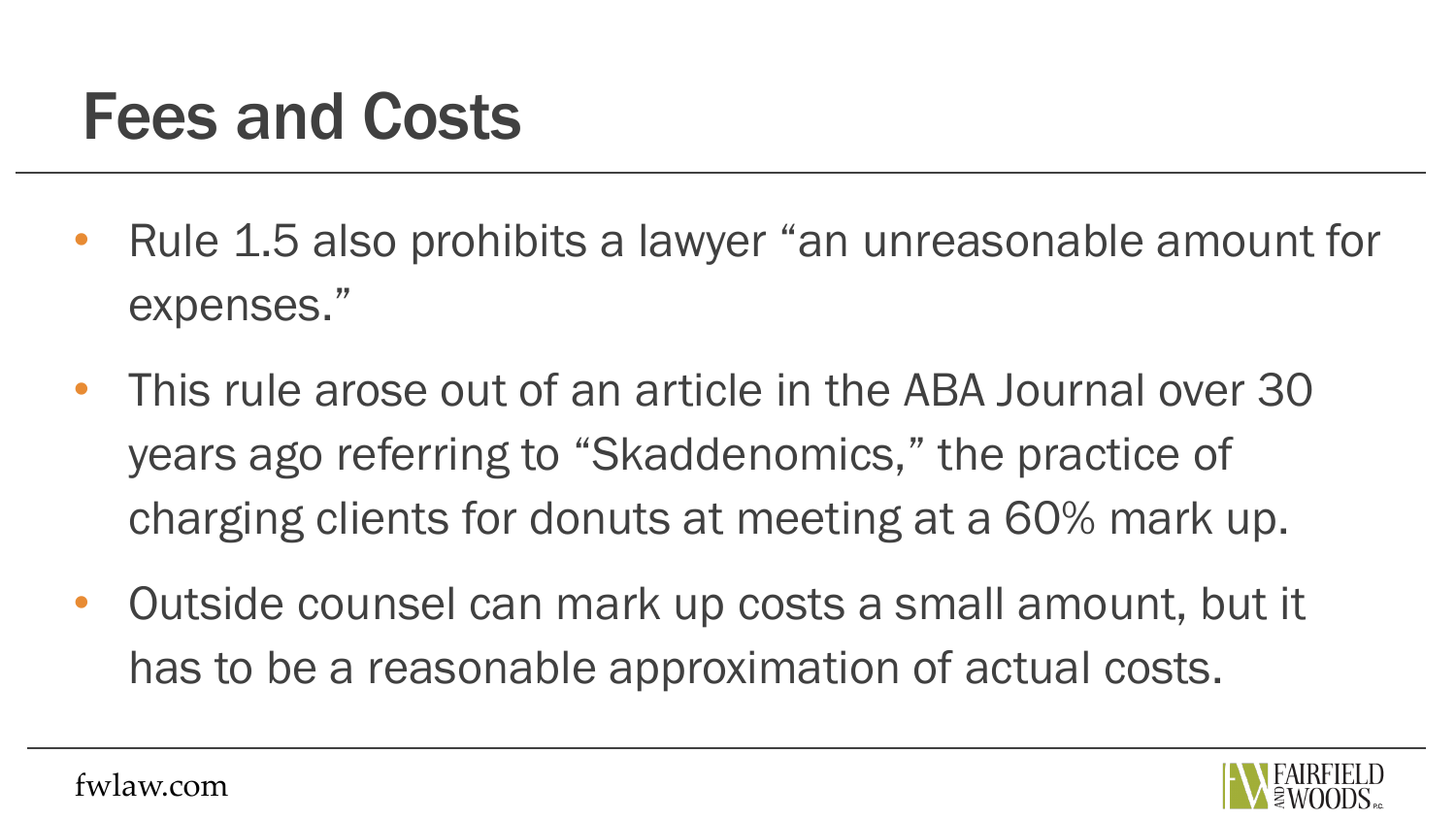#### Fees and Costs

- Rule 1.5 also prohibits a lawyer "an unreasonable amount for expenses."
- This rule arose out of an article in the ABA Journal over 30 years ago referring to "Skaddenomics," the practice of charging clients for donuts at meeting at a 60% mark up.
- Outside counsel can mark up costs a small amount, but it has to be a reasonable approximation of actual costs.

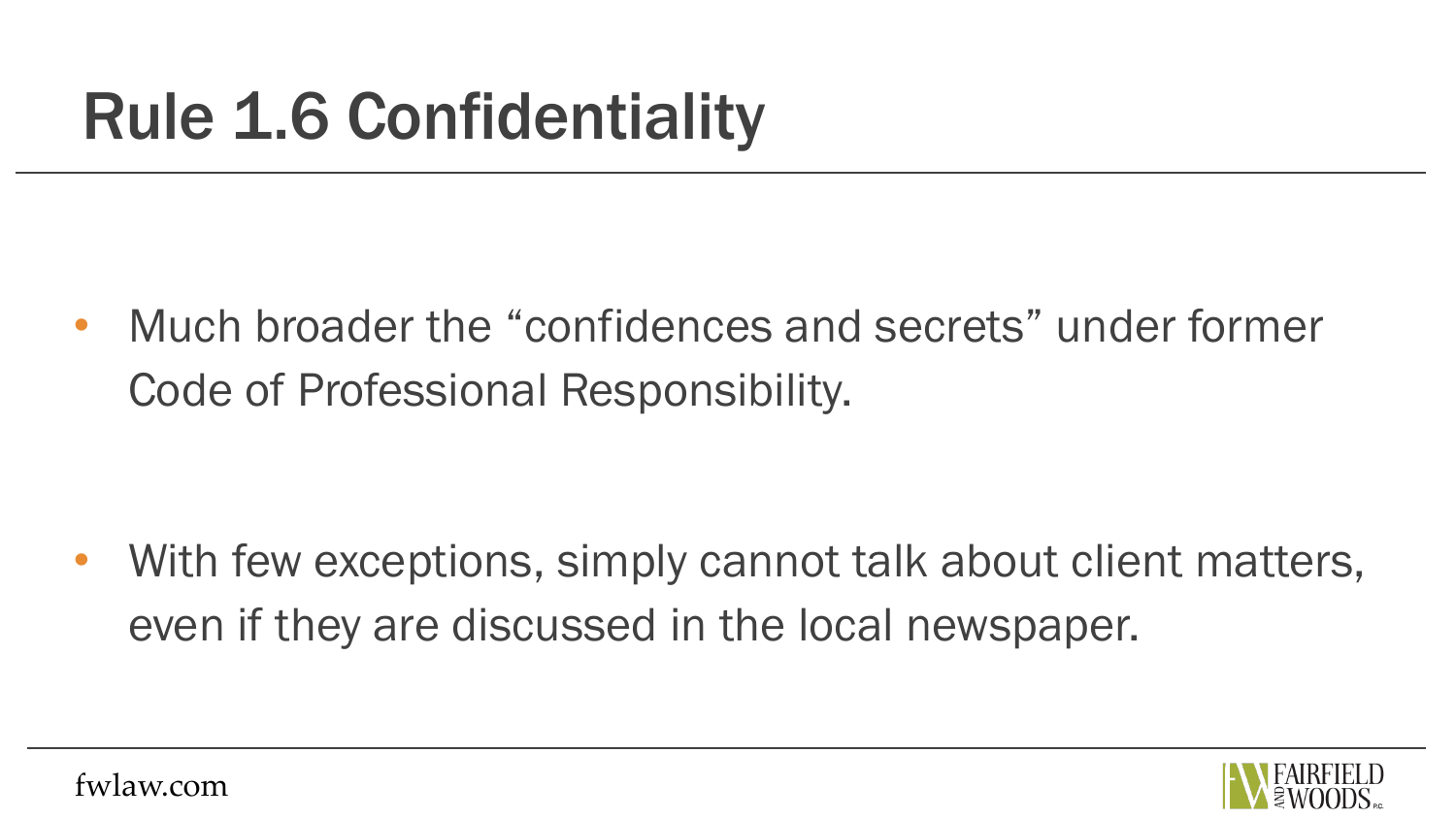• Much broader the "confidences and secrets" under former Code of Professional Responsibility.

With few exceptions, simply cannot talk about client matters, even if they are discussed in the local newspaper.

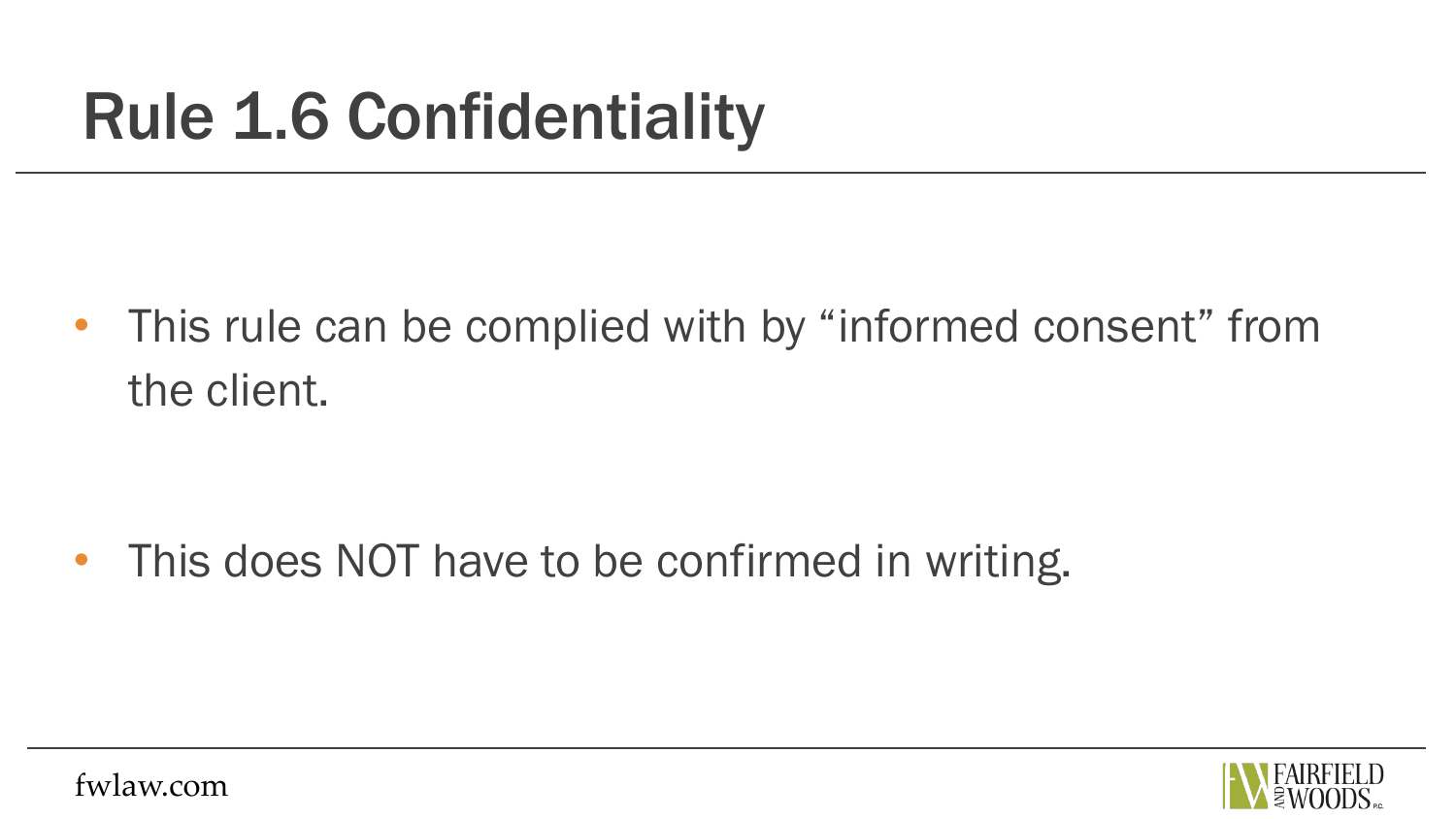• This rule can be complied with by "informed consent" from the client.

• This does NOT have to be confirmed in writing.

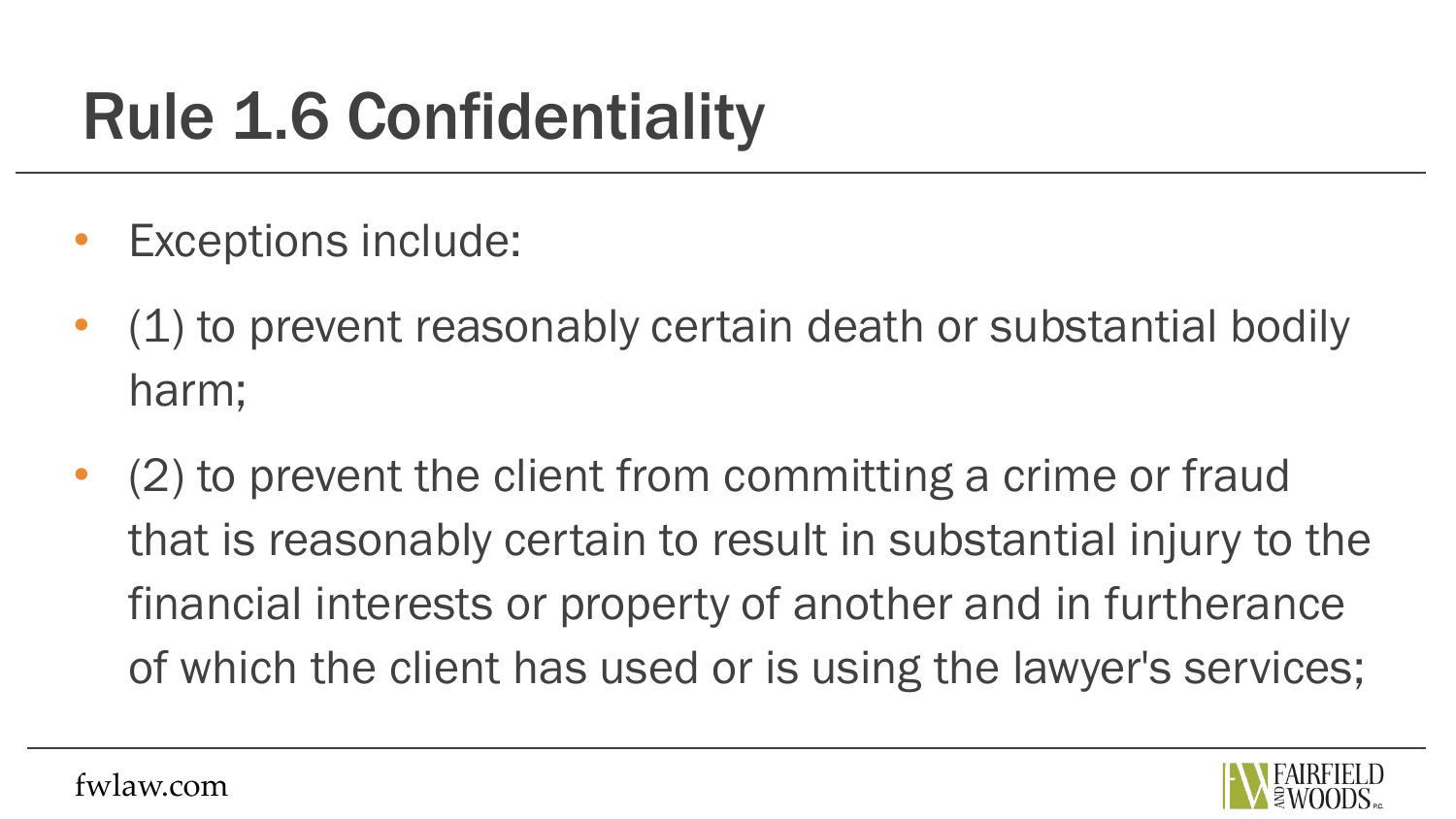- Exceptions include:
- (1) to prevent reasonably certain death or substantial bodily harm;
- (2) to prevent the client from committing a crime or fraud that is reasonably certain to result in substantial injury to the financial interests or property of another and in furtherance of which the client has used or is using the lawyer's services;

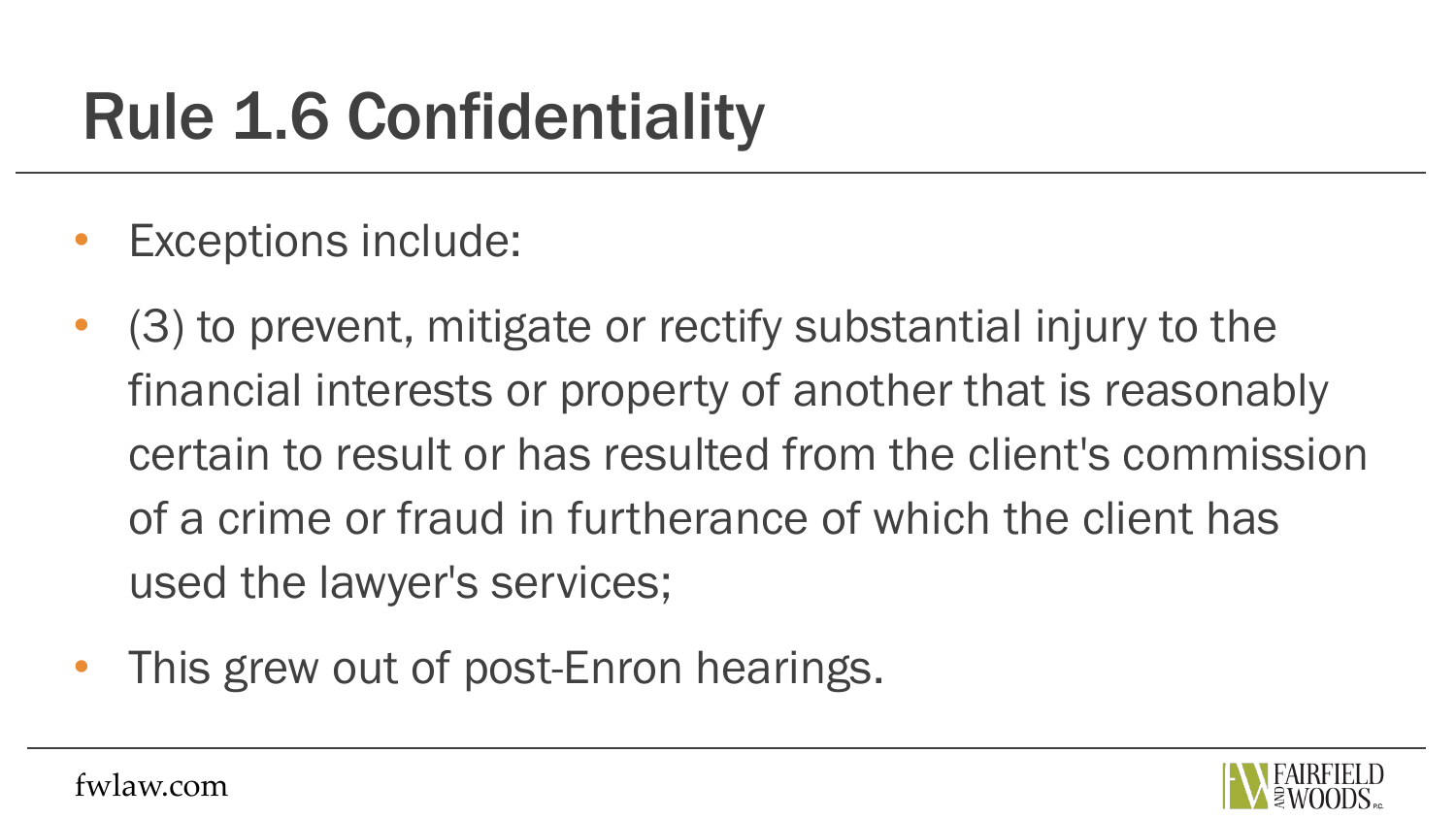- Exceptions include:
- (3) to prevent, mitigate or rectify substantial injury to the financial interests or property of another that is reasonably certain to result or has resulted from the client's commission of a crime or fraud in furtherance of which the client has used the lawyer's services;
- This grew out of post-Enron hearings.

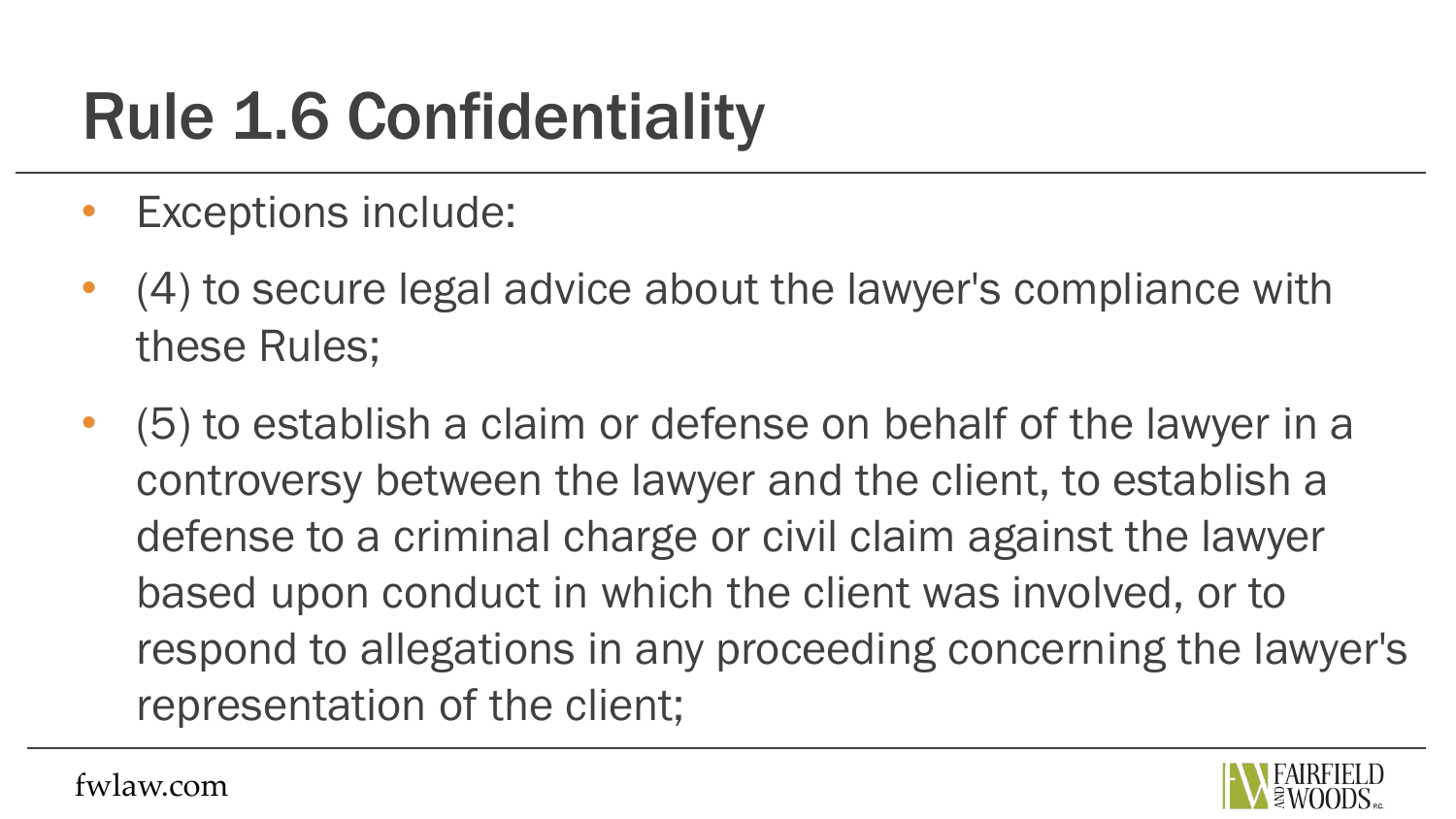- Exceptions include:
- (4) to secure legal advice about the lawyer's compliance with these Rules;
- (5) to establish a claim or defense on behalf of the lawyer in a controversy between the lawyer and the client, to establish a defense to a criminal charge or civil claim against the lawyer based upon conduct in which the client was involved, or to respond to allegations in any proceeding concerning the lawyer's representation of the client;

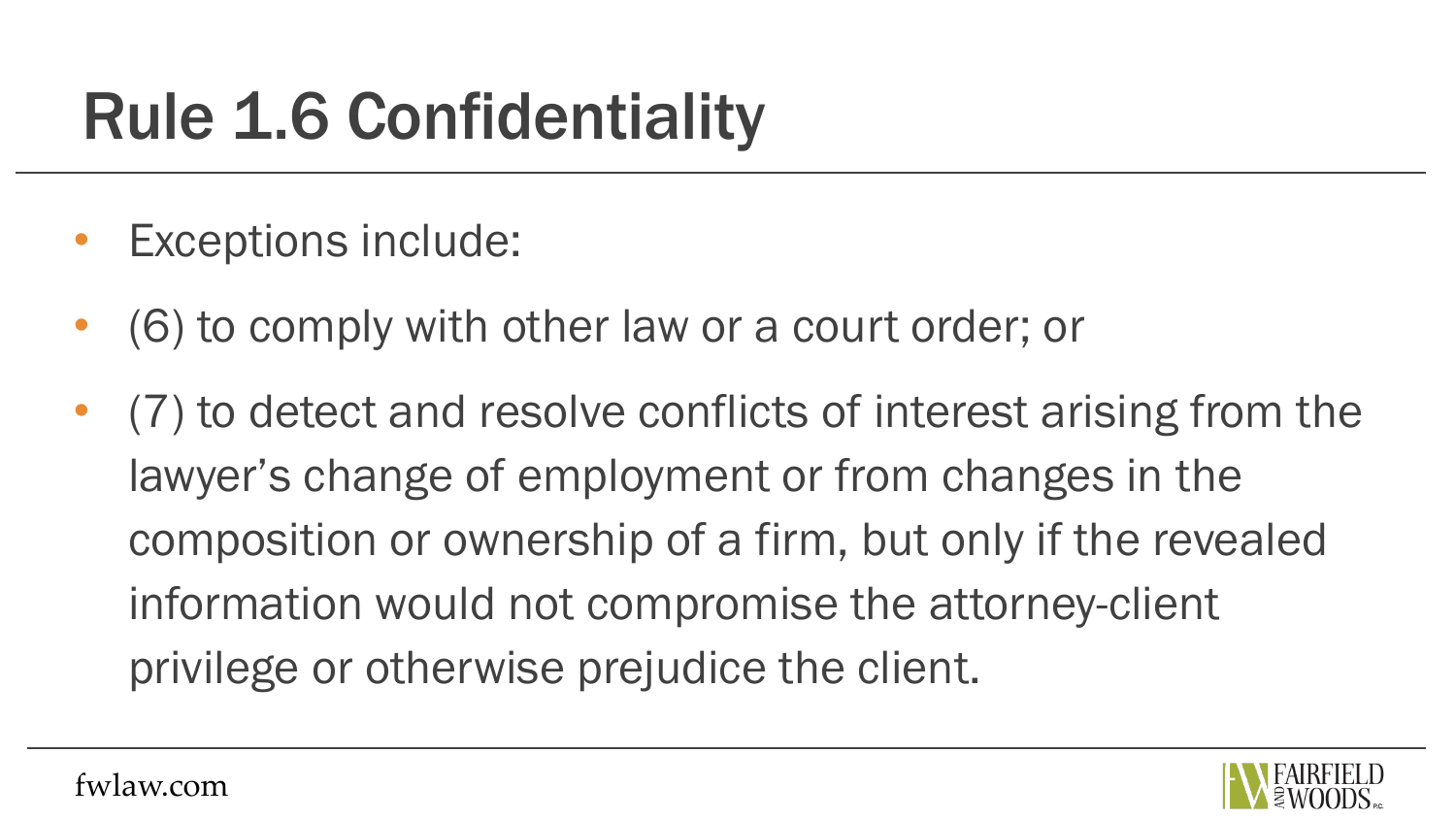- Exceptions include:
- (6) to comply with other law or a court order; or
- (7) to detect and resolve conflicts of interest arising from the lawyer's change of employment or from changes in the composition or ownership of a firm, but only if the revealed information would not compromise the attorney-client privilege or otherwise prejudice the client.

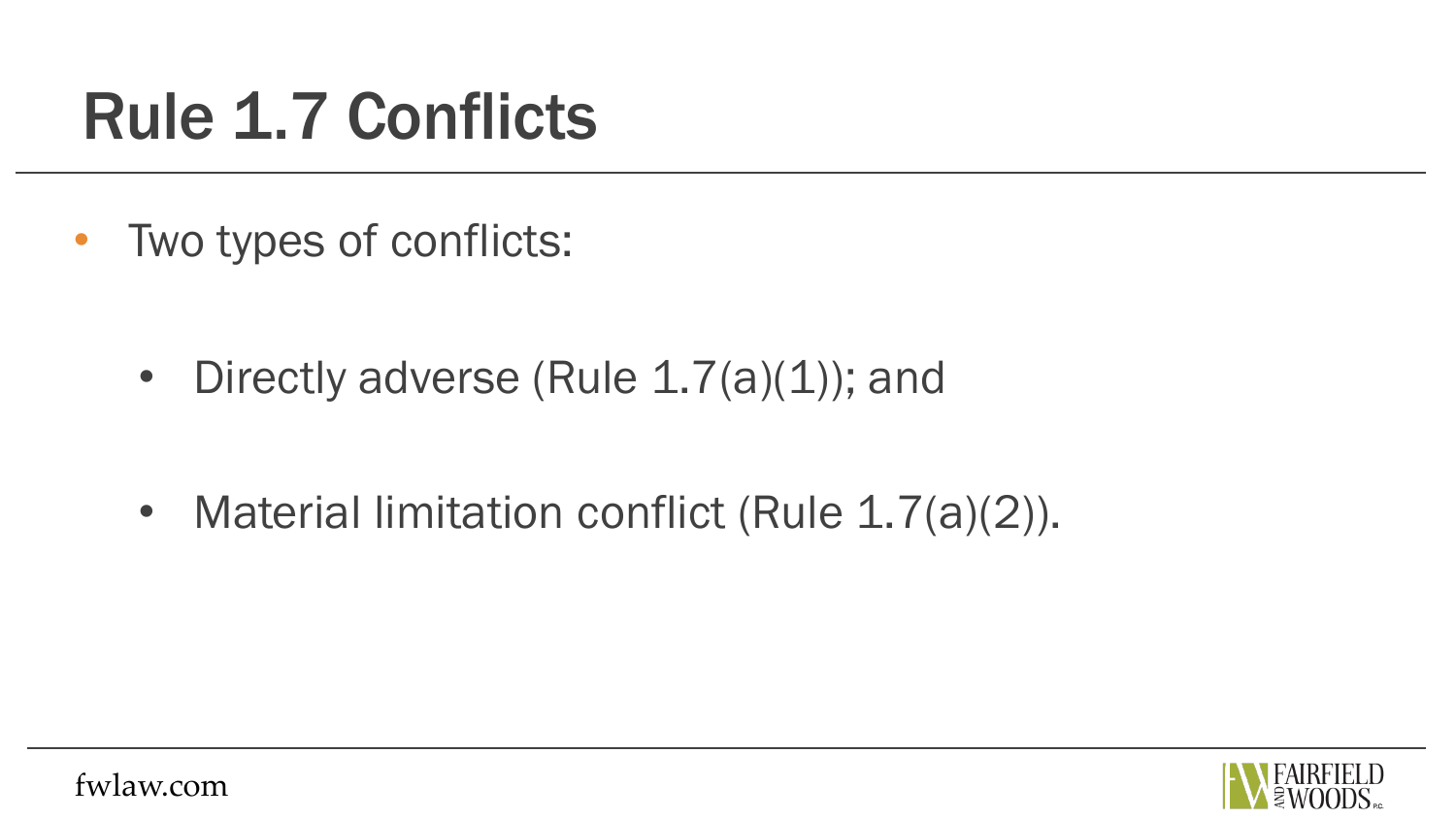• Two types of conflicts:

- Directly adverse (Rule 1.7(a)(1)); and
- Material limitation conflict (Rule 1.7(a)(2)).

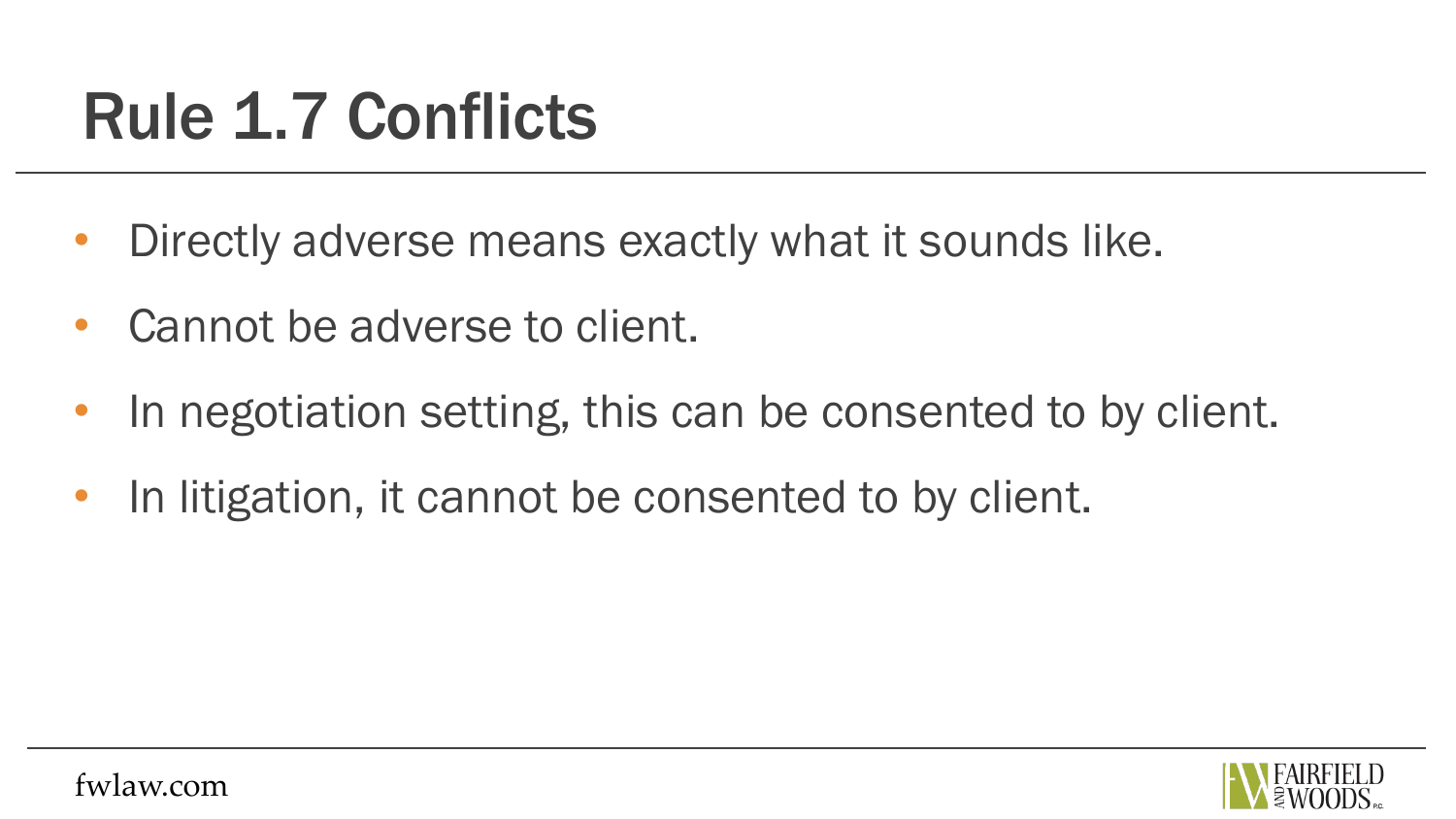- Directly adverse means exactly what it sounds like.
- Cannot be adverse to client.
- In negotiation setting, this can be consented to by client.
- In litigation, it cannot be consented to by client.

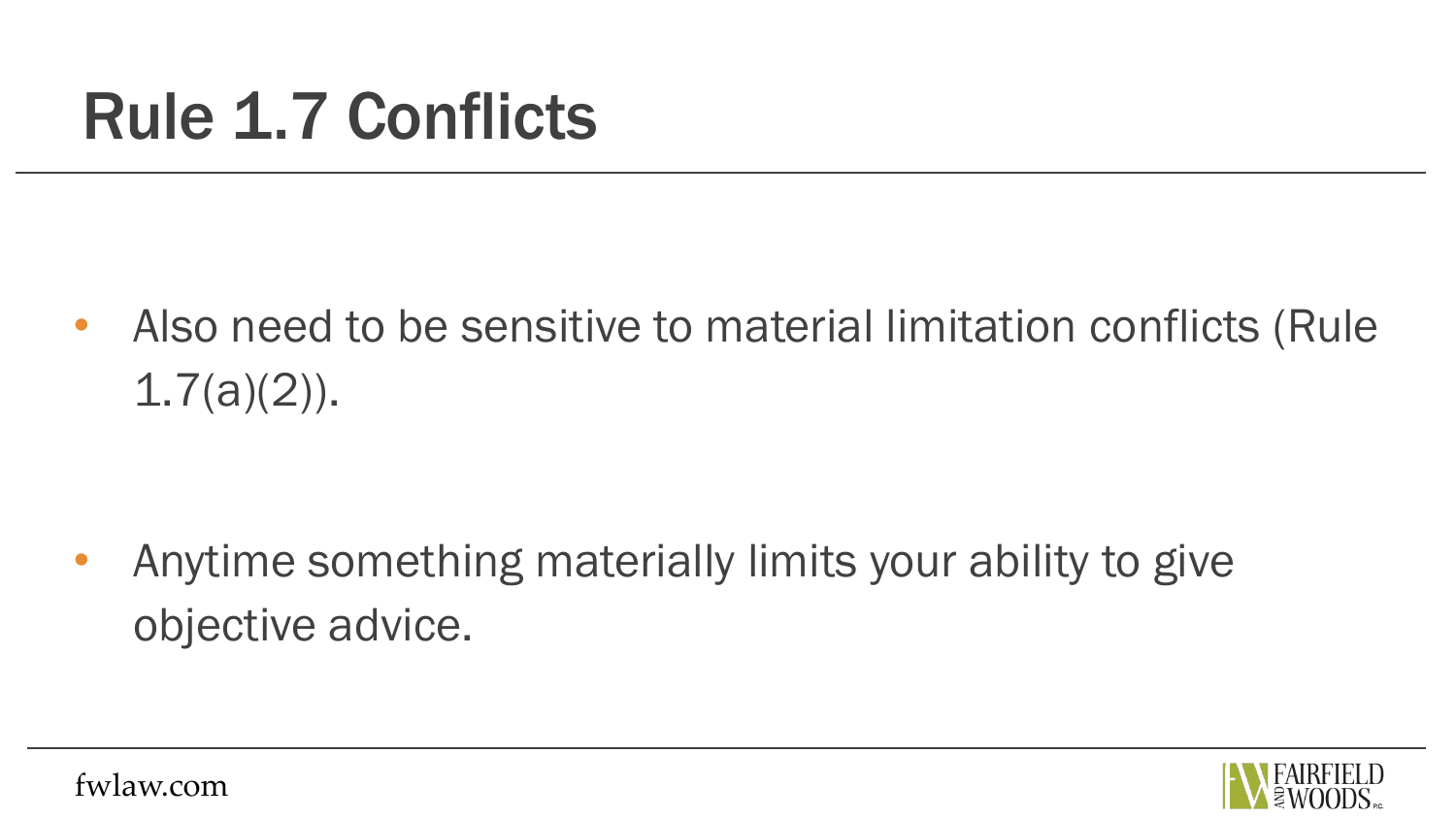• Also need to be sensitive to material limitation conflicts (Rule  $1.7(a)(2)$ ).

• Anytime something materially limits your ability to give objective advice.

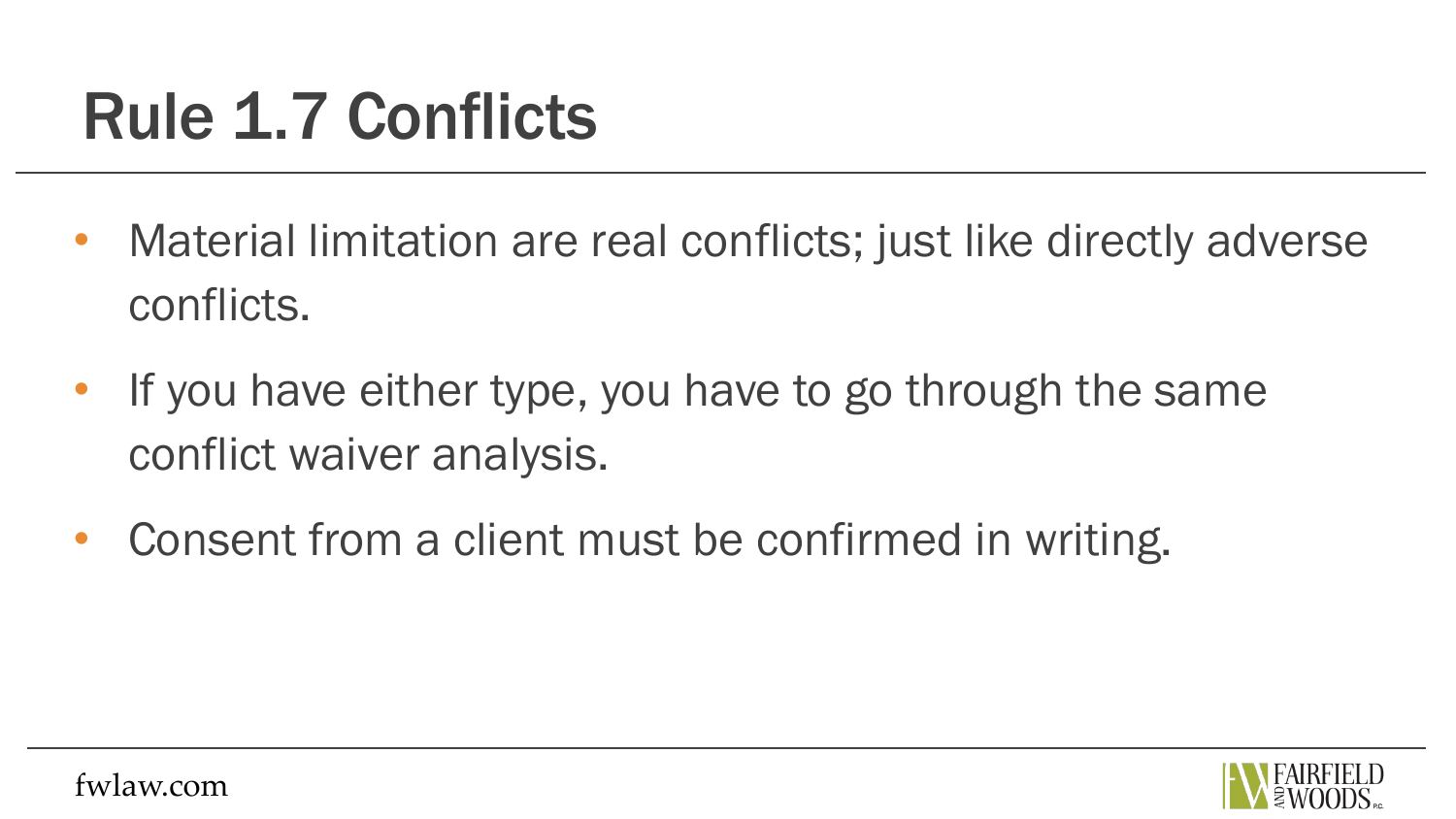- Material limitation are real conflicts; just like directly adverse conflicts.
- If you have either type, you have to go through the same conflict waiver analysis.
- Consent from a client must be confirmed in writing.

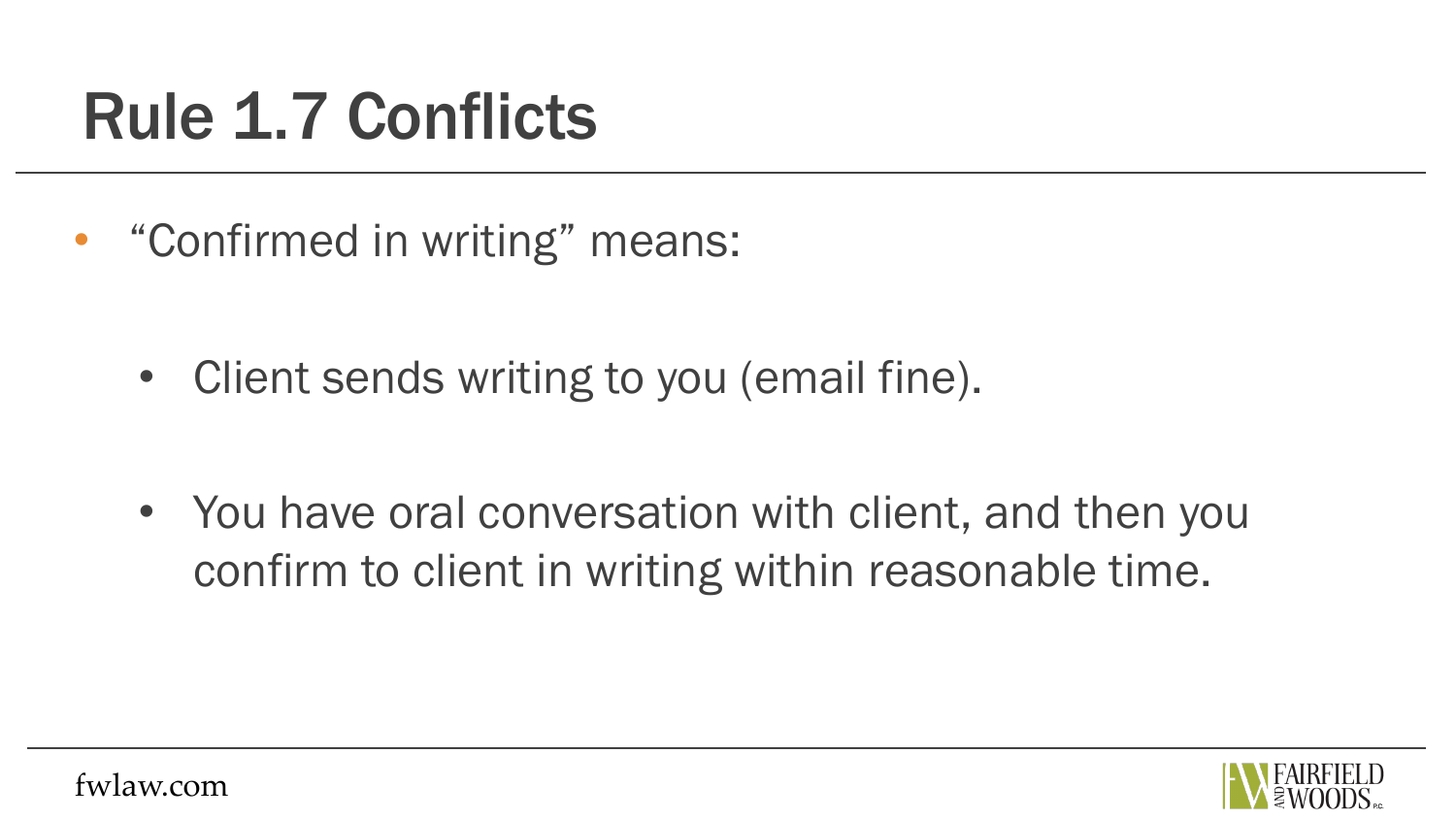• "Confirmed in writing" means:

• Client sends writing to you (email fine).

• You have oral conversation with client, and then you confirm to client in writing within reasonable time.

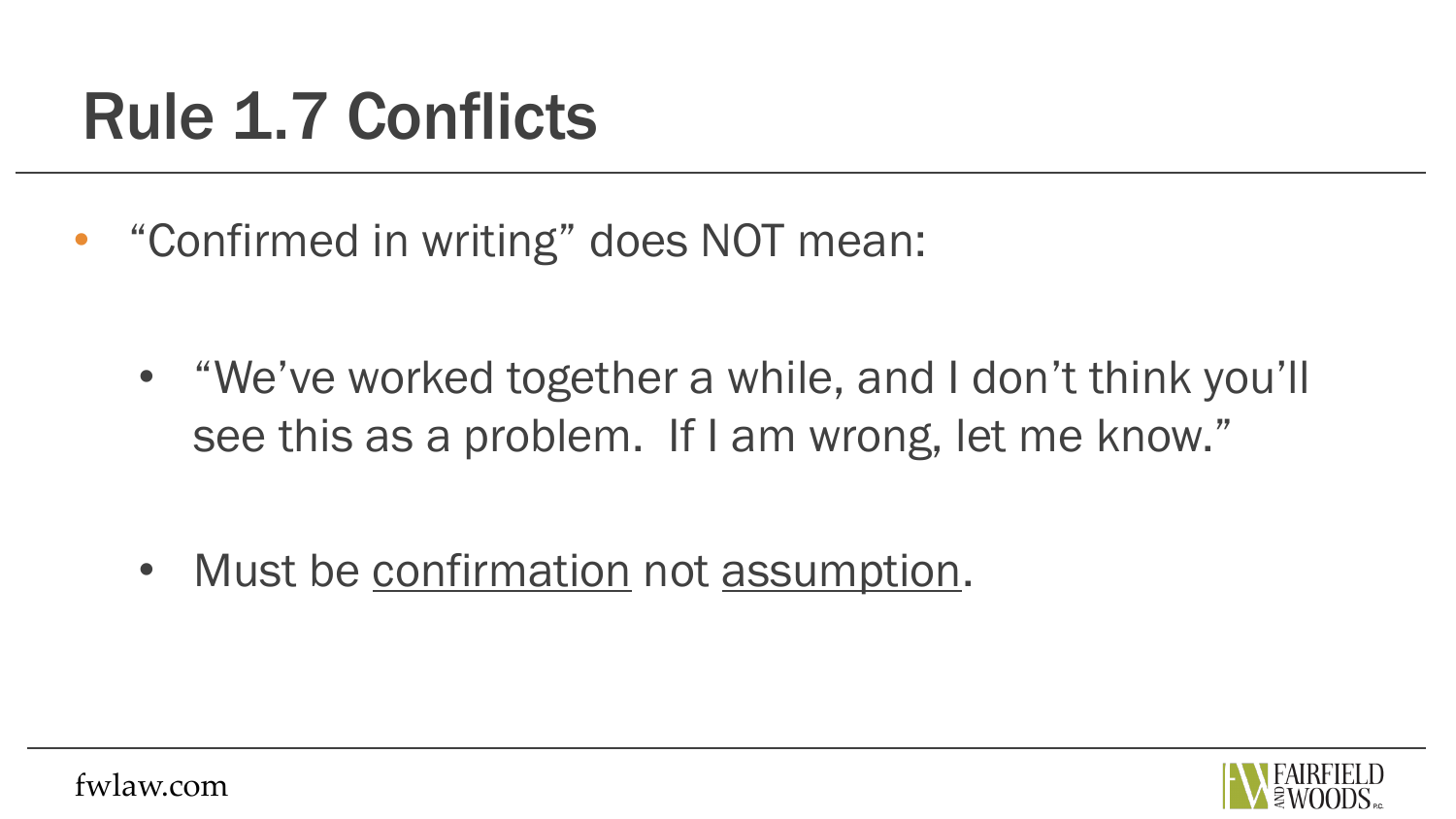• "Confirmed in writing" does NOT mean:

• "We've worked together a while, and I don't think you'll see this as a problem. If I am wrong, let me know."

• Must be confirmation not assumption.

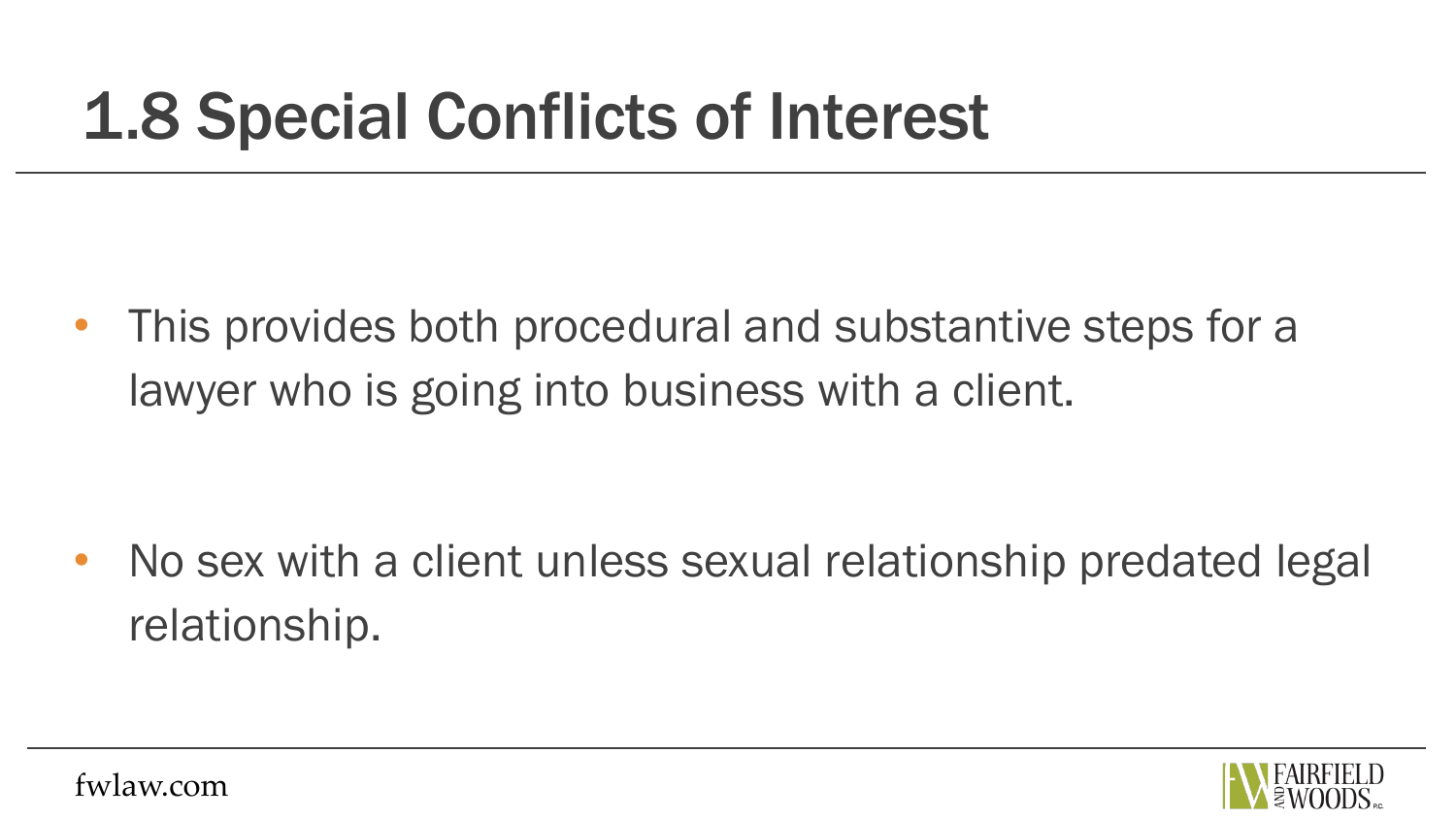#### 1.8 Special Conflicts of Interest

• This provides both procedural and substantive steps for a lawyer who is going into business with a client.

• No sex with a client unless sexual relationship predated legal relationship.

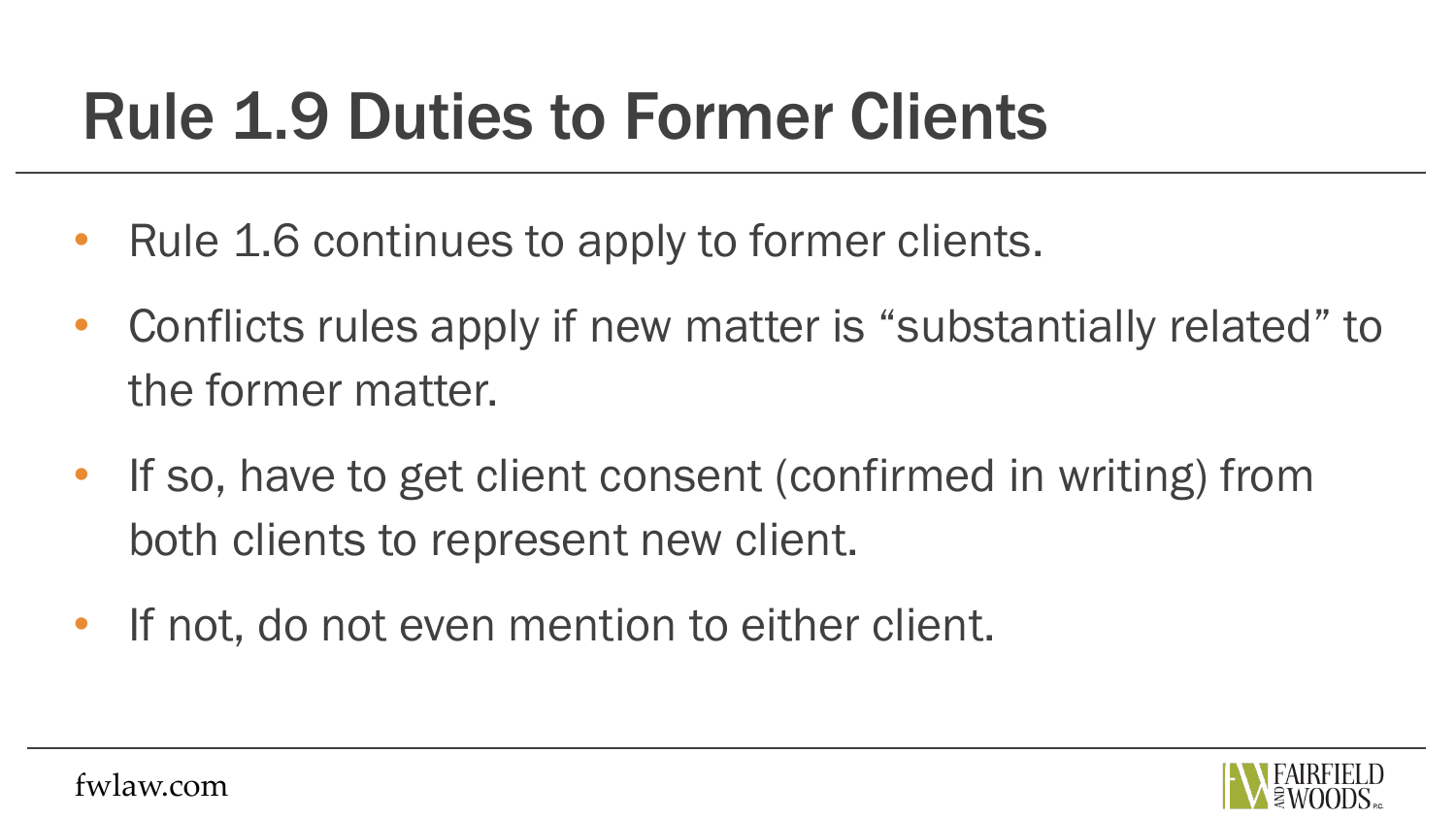### Rule 1.9 Duties to Former Clients

- Rule 1.6 continues to apply to former clients.
- Conflicts rules apply if new matter is "substantially related" to the former matter.
- If so, have to get client consent (confirmed in writing) from both clients to represent new client.
- If not, do not even mention to either client.

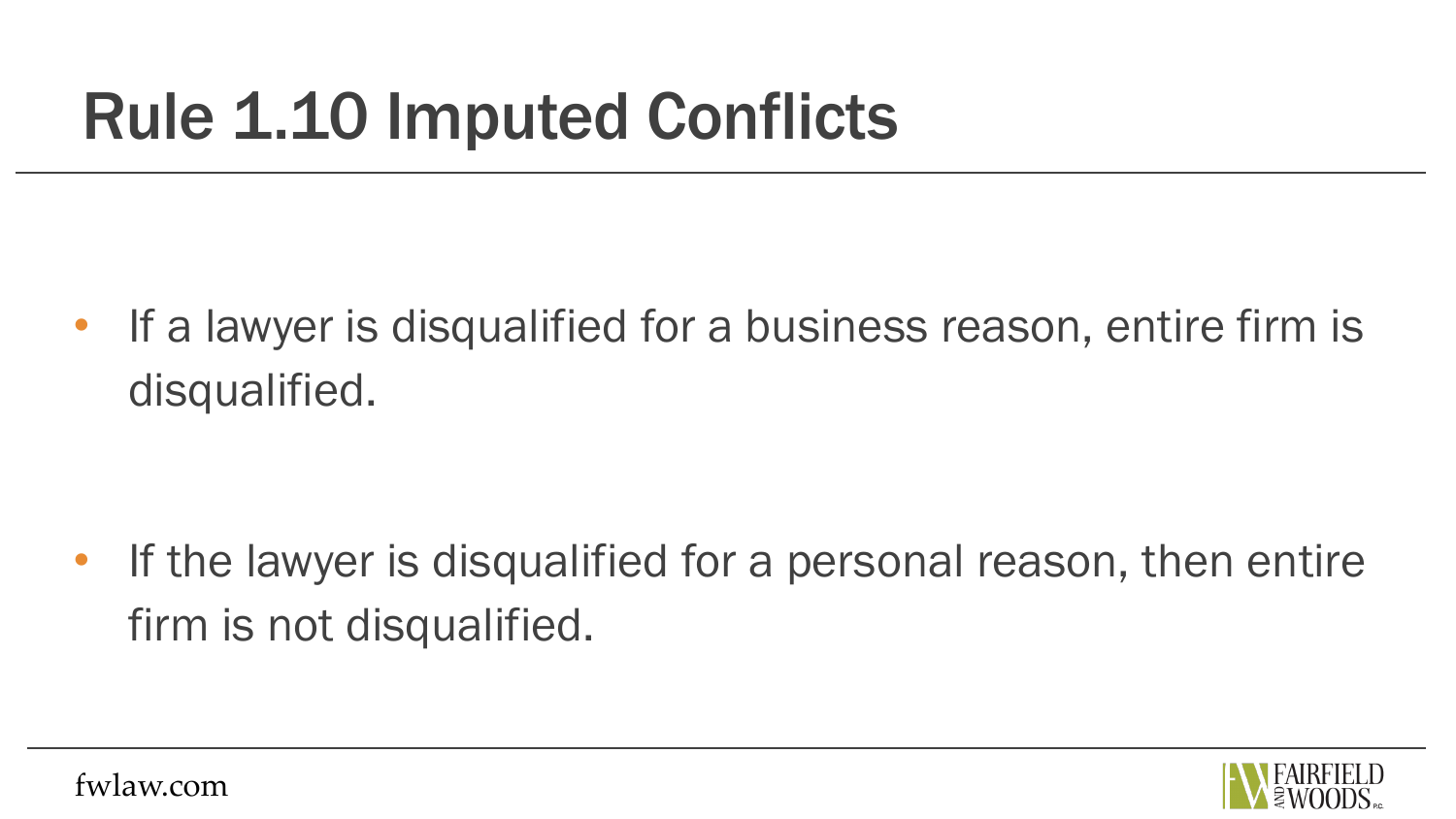### Rule 1.10 Imputed Conflicts

• If a lawyer is disqualified for a business reason, entire firm is disqualified.

• If the lawyer is disqualified for a personal reason, then entire firm is not disqualified.

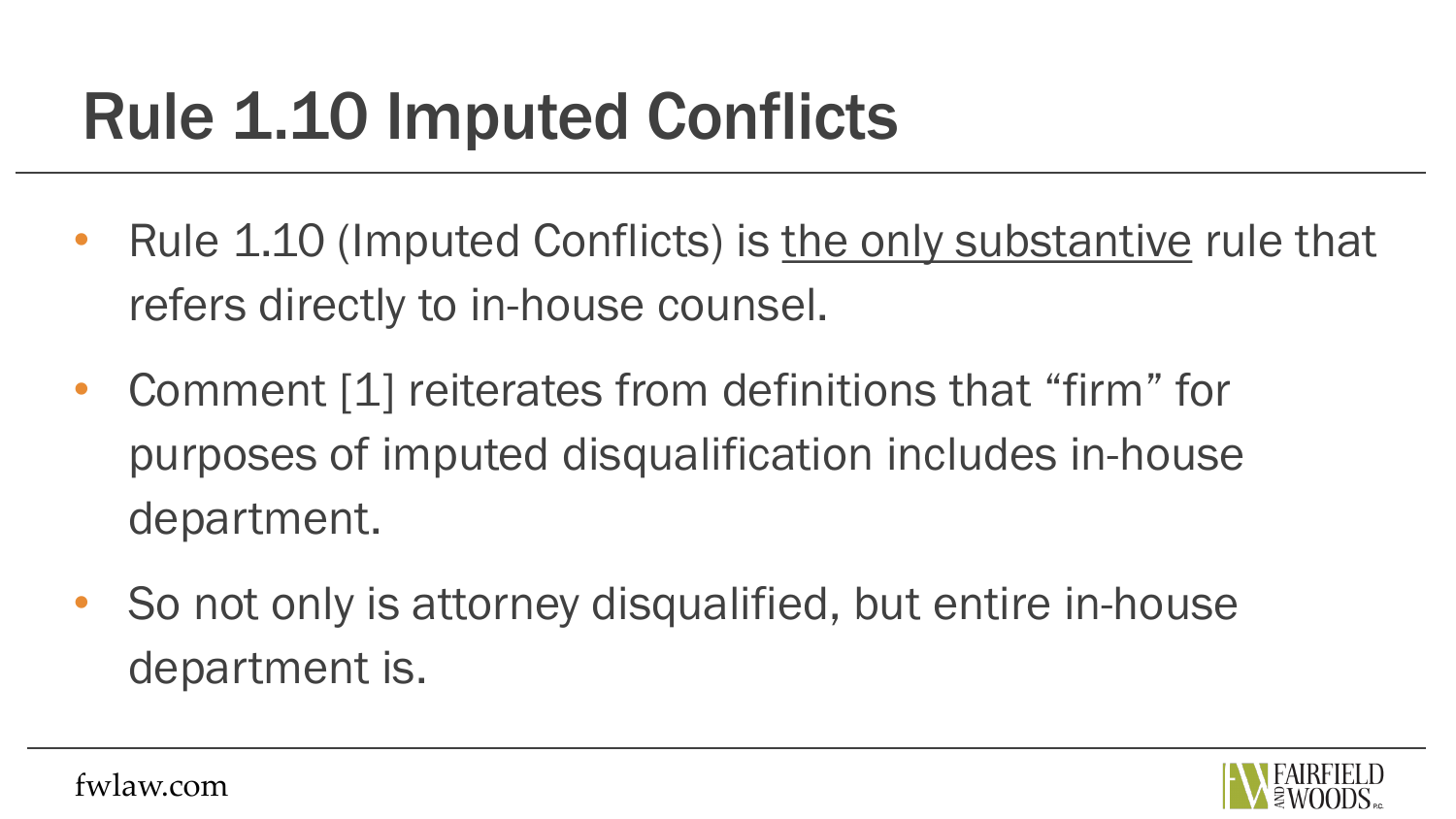## Rule 1.10 Imputed Conflicts

- Rule 1.10 (Imputed Conflicts) is the only substantive rule that refers directly to in-house counsel.
- Comment [1] reiterates from definitions that "firm" for purposes of imputed disqualification includes in-house department.
- So not only is attorney disqualified, but entire in-house department is.

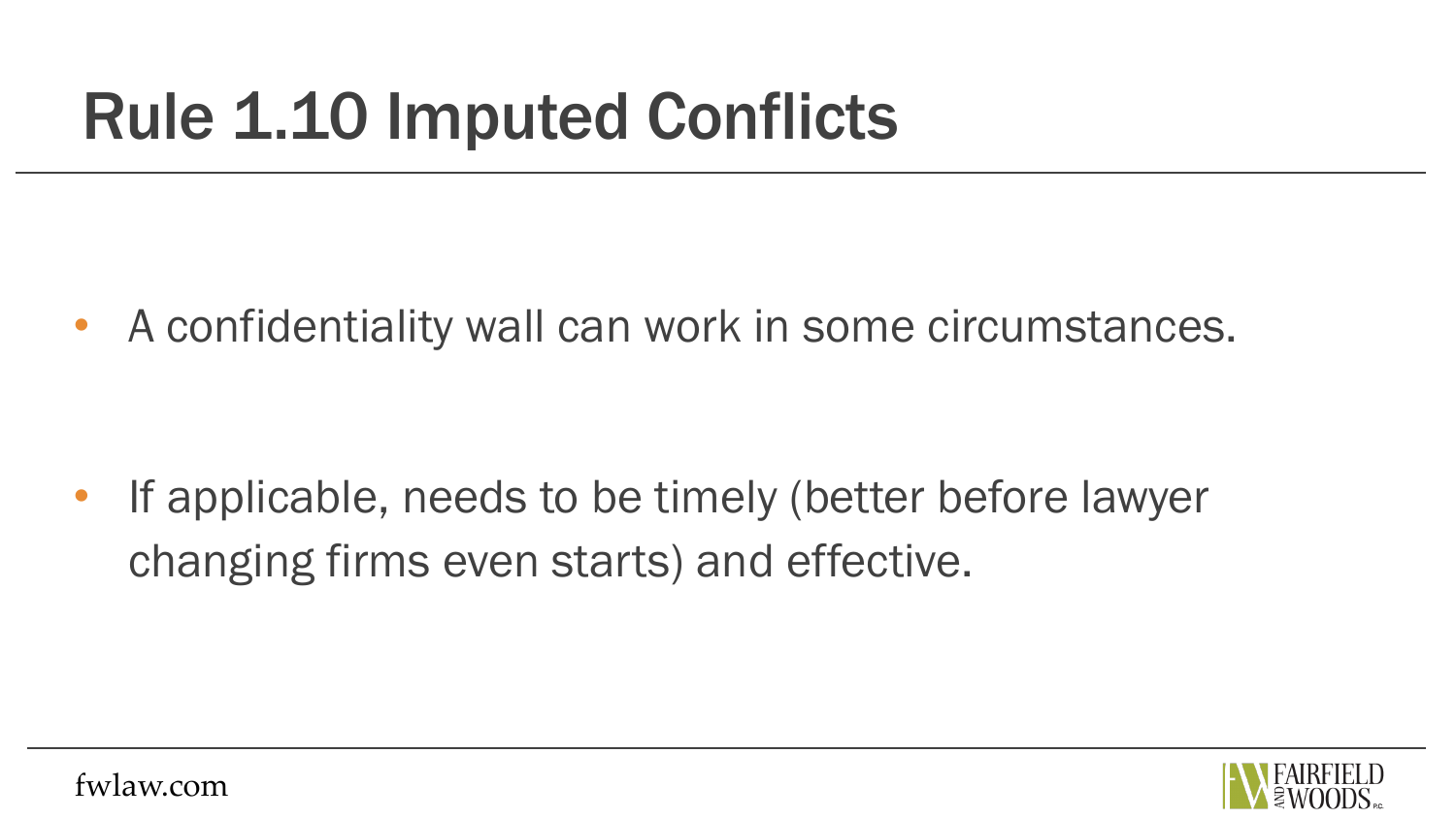### Rule 1.10 Imputed Conflicts

• A confidentiality wall can work in some circumstances.

If applicable, needs to be timely (better before lawyer changing firms even starts) and effective.

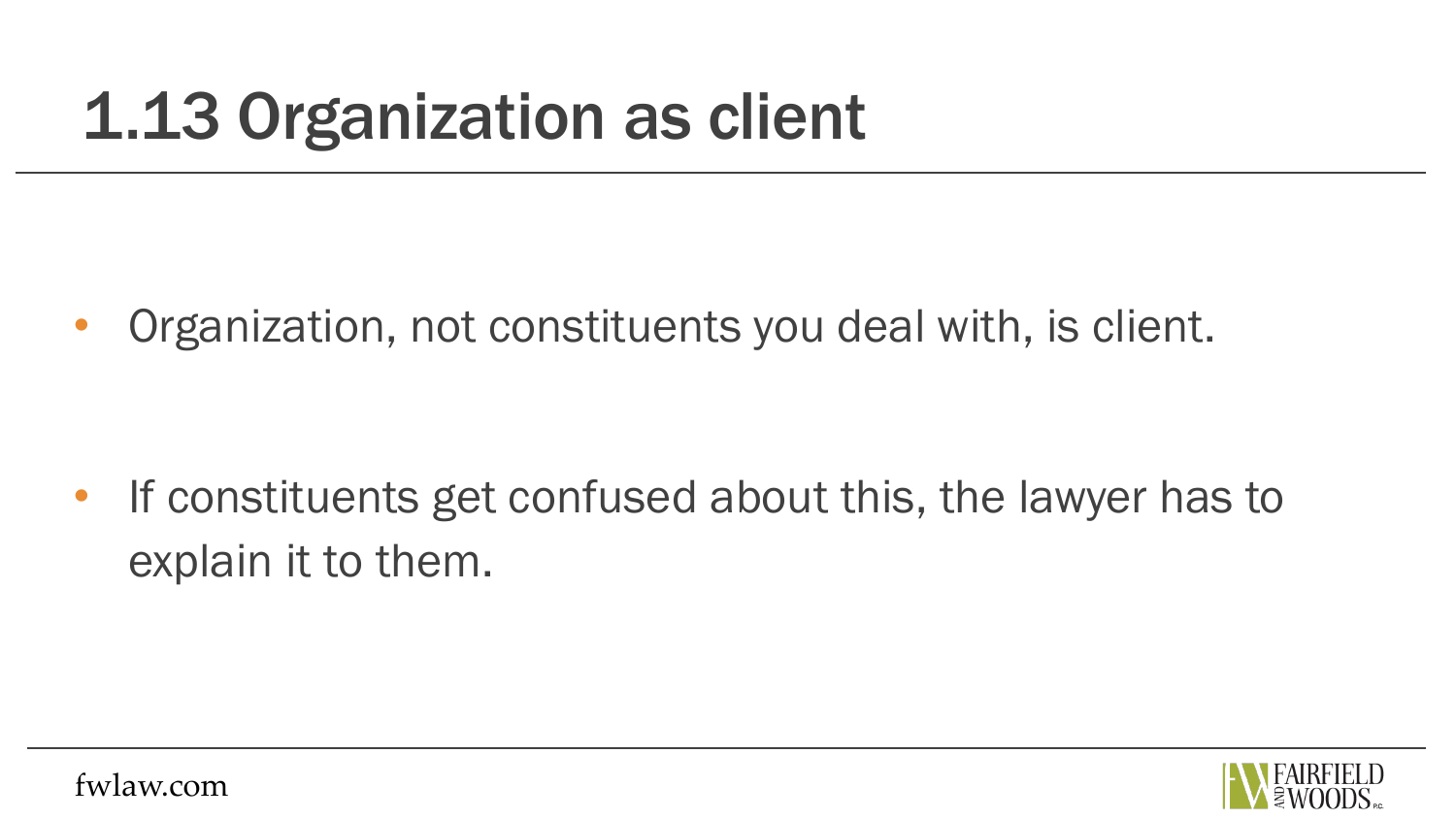• Organization, not constituents you deal with, is client.

• If constituents get confused about this, the lawyer has to explain it to them.

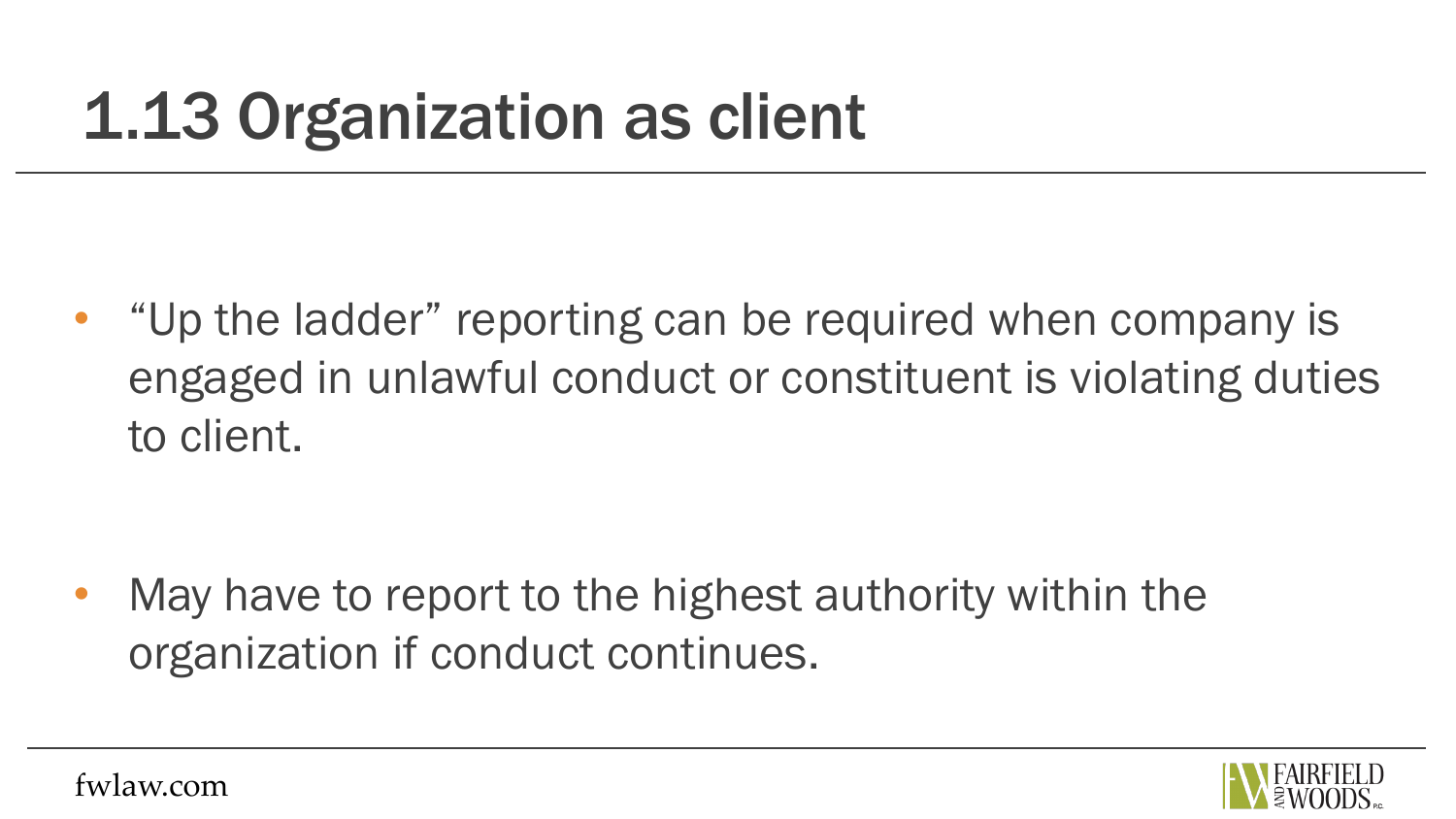• "Up the ladder" reporting can be required when company is engaged in unlawful conduct or constituent is violating duties to client.

May have to report to the highest authority within the organization if conduct continues.

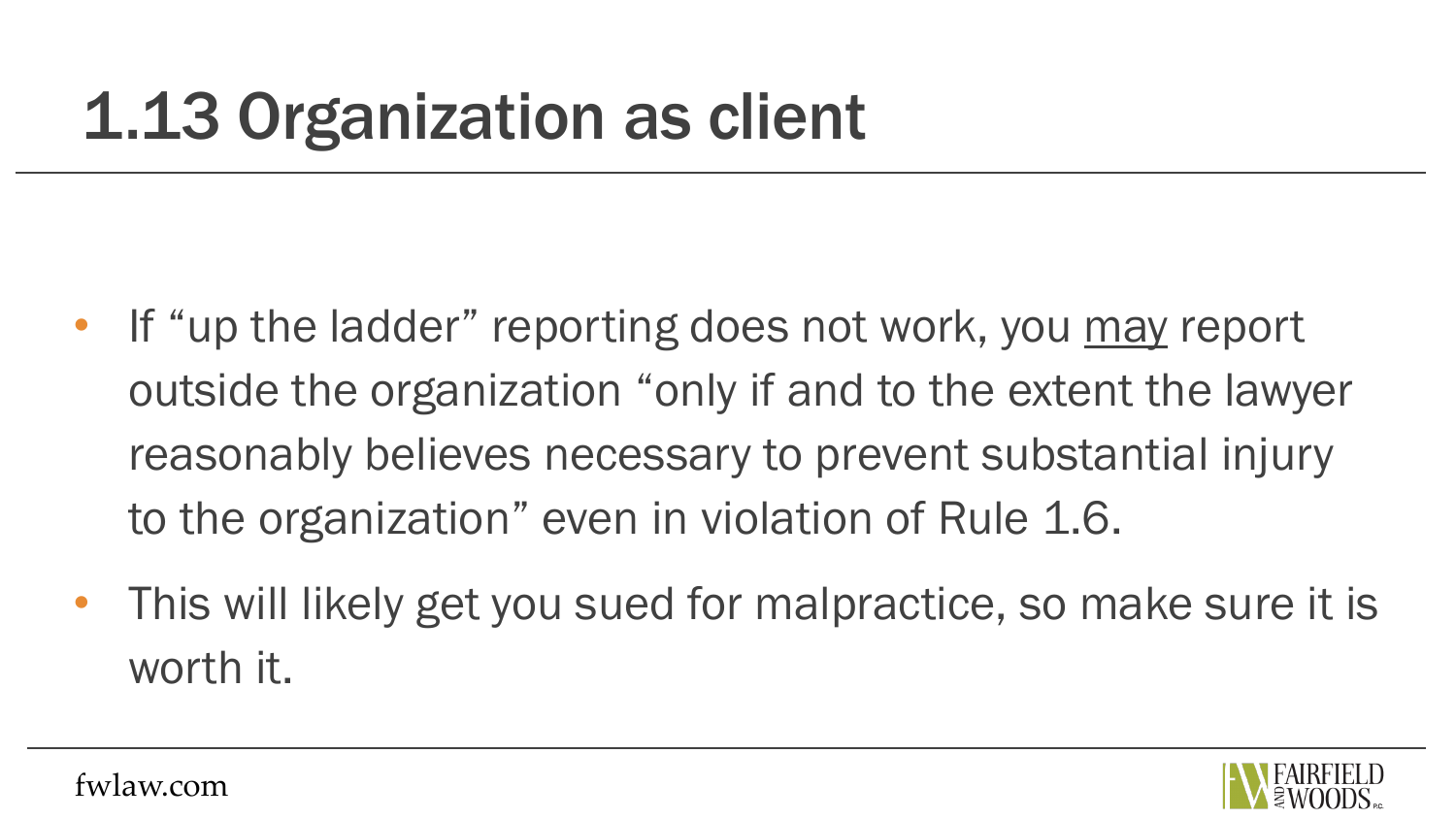- If "up the ladder" reporting does not work, you may report outside the organization "only if and to the extent the lawyer reasonably believes necessary to prevent substantial injury to the organization" even in violation of Rule 1.6.
- This will likely get you sued for malpractice, so make sure it is worth it.

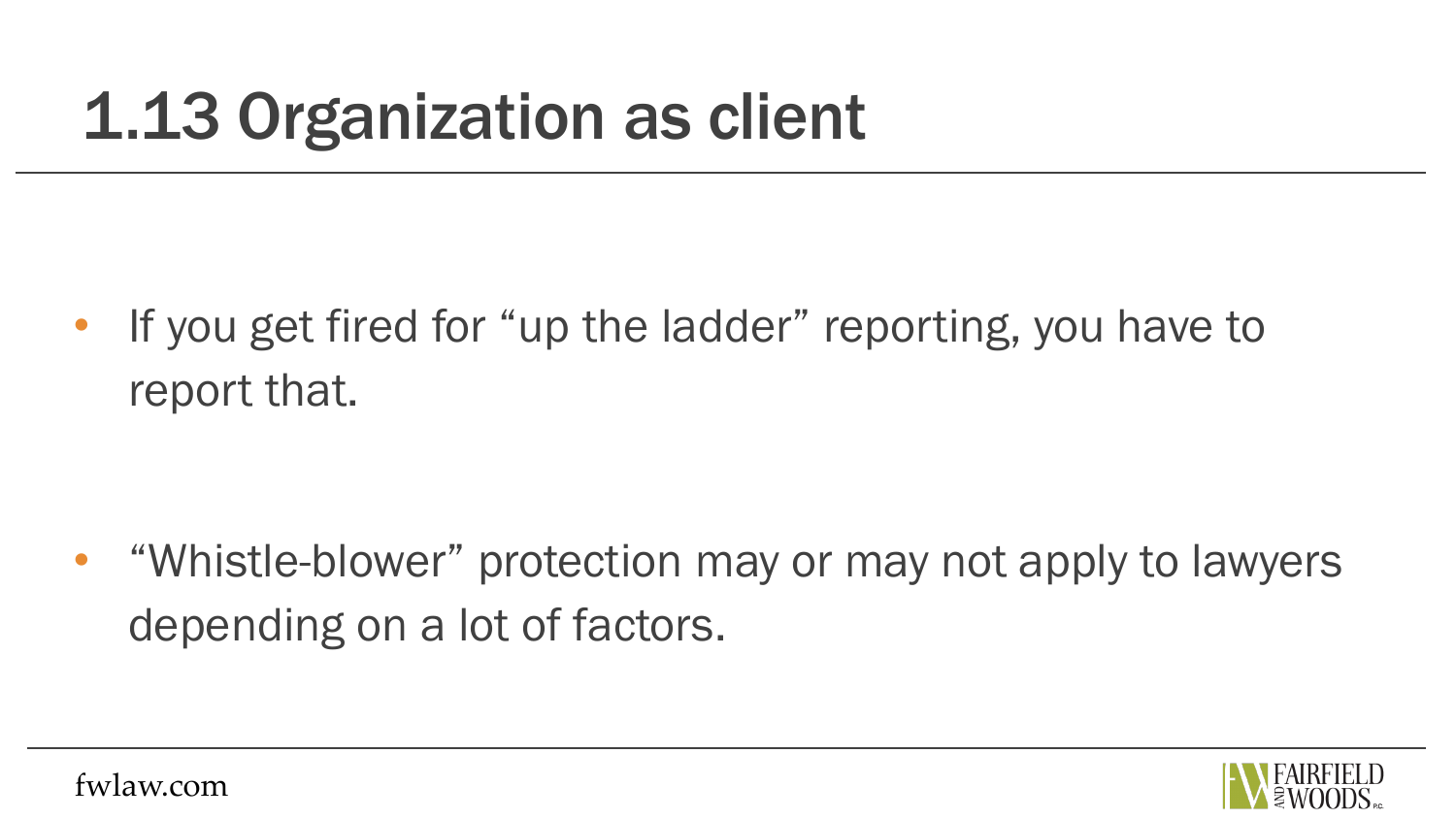• If you get fired for "up the ladder" reporting, you have to report that.

• "Whistle-blower" protection may or may not apply to lawyers depending on a lot of factors.

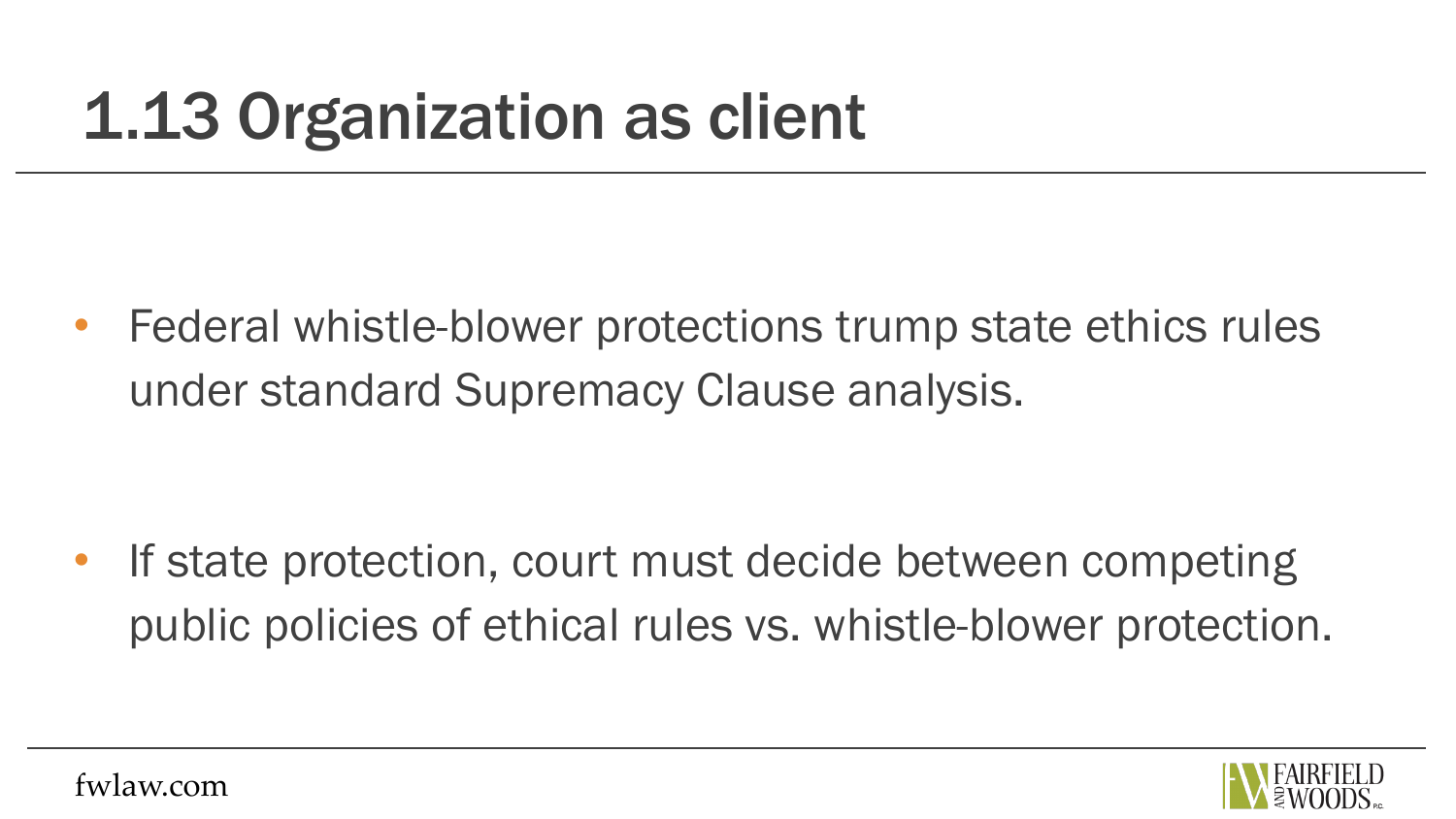• Federal whistle-blower protections trump state ethics rules under standard Supremacy Clause analysis.

If state protection, court must decide between competing public policies of ethical rules vs. whistle-blower protection.

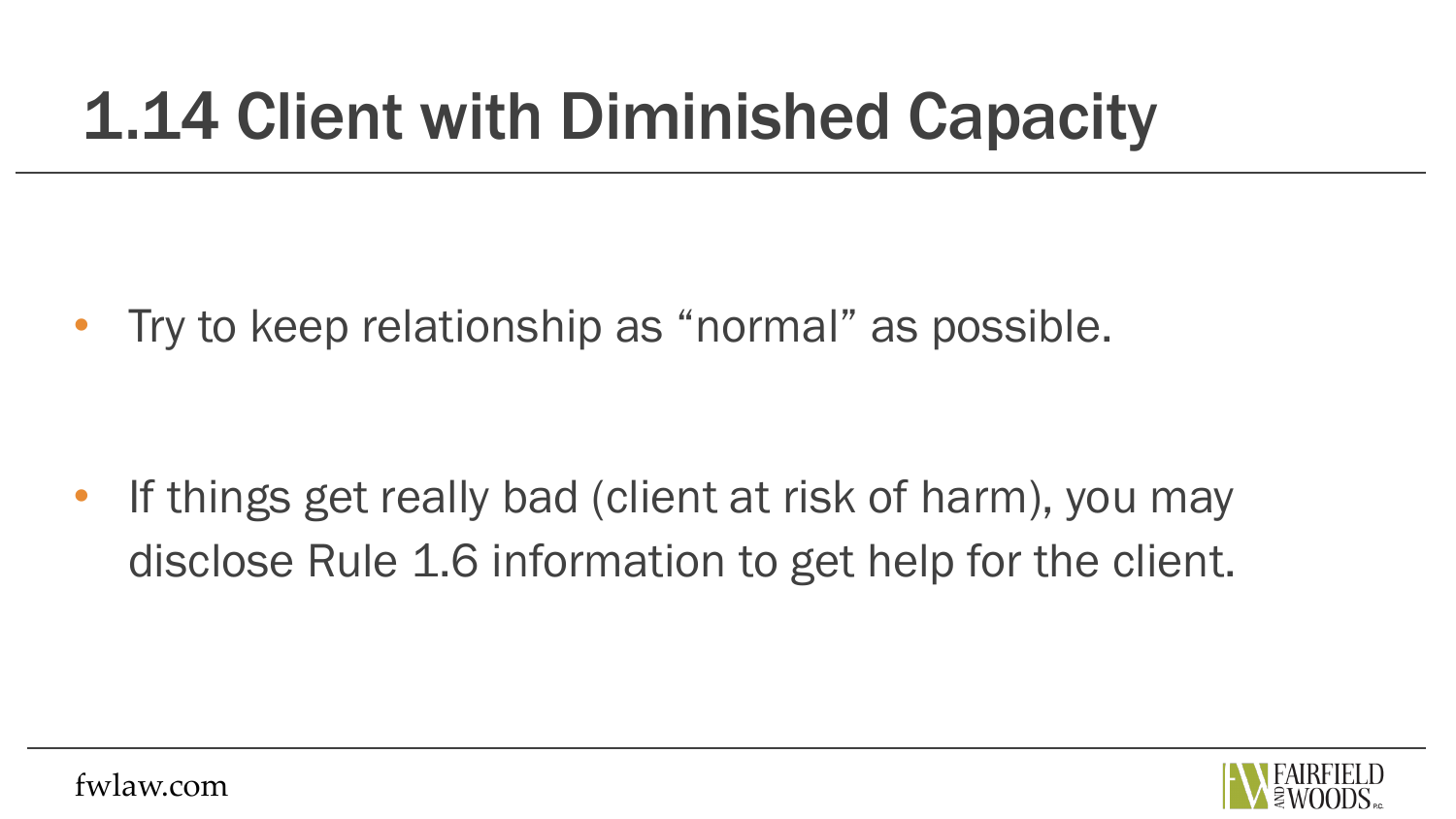## 1.14 Client with Diminished Capacity

• Try to keep relationship as "normal" as possible.

• If things get really bad (client at risk of harm), you may disclose Rule 1.6 information to get help for the client.

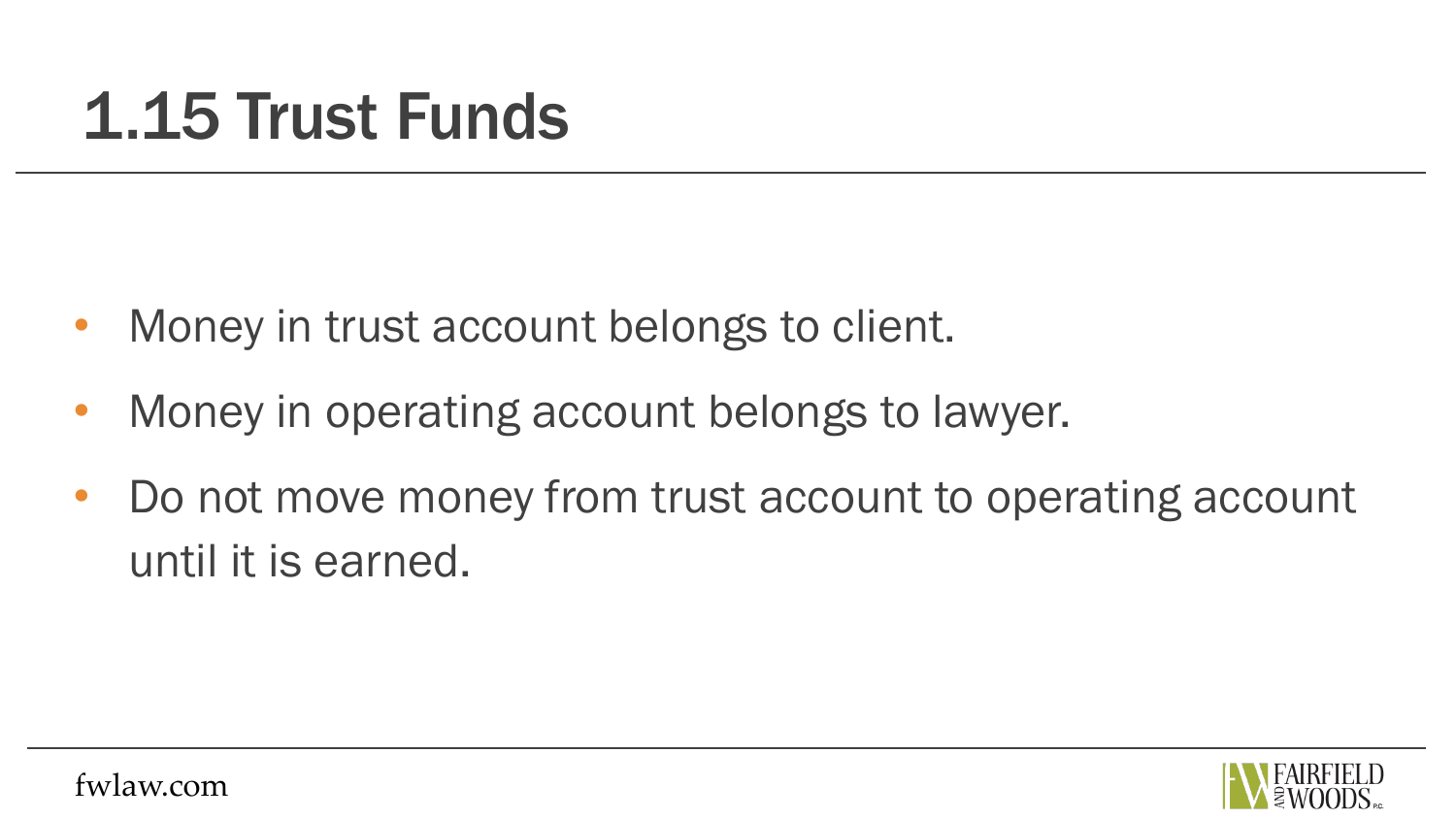#### 1.15 Trust Funds

- Money in trust account belongs to client.
- Money in operating account belongs to lawyer.
- Do not move money from trust account to operating account until it is earned.

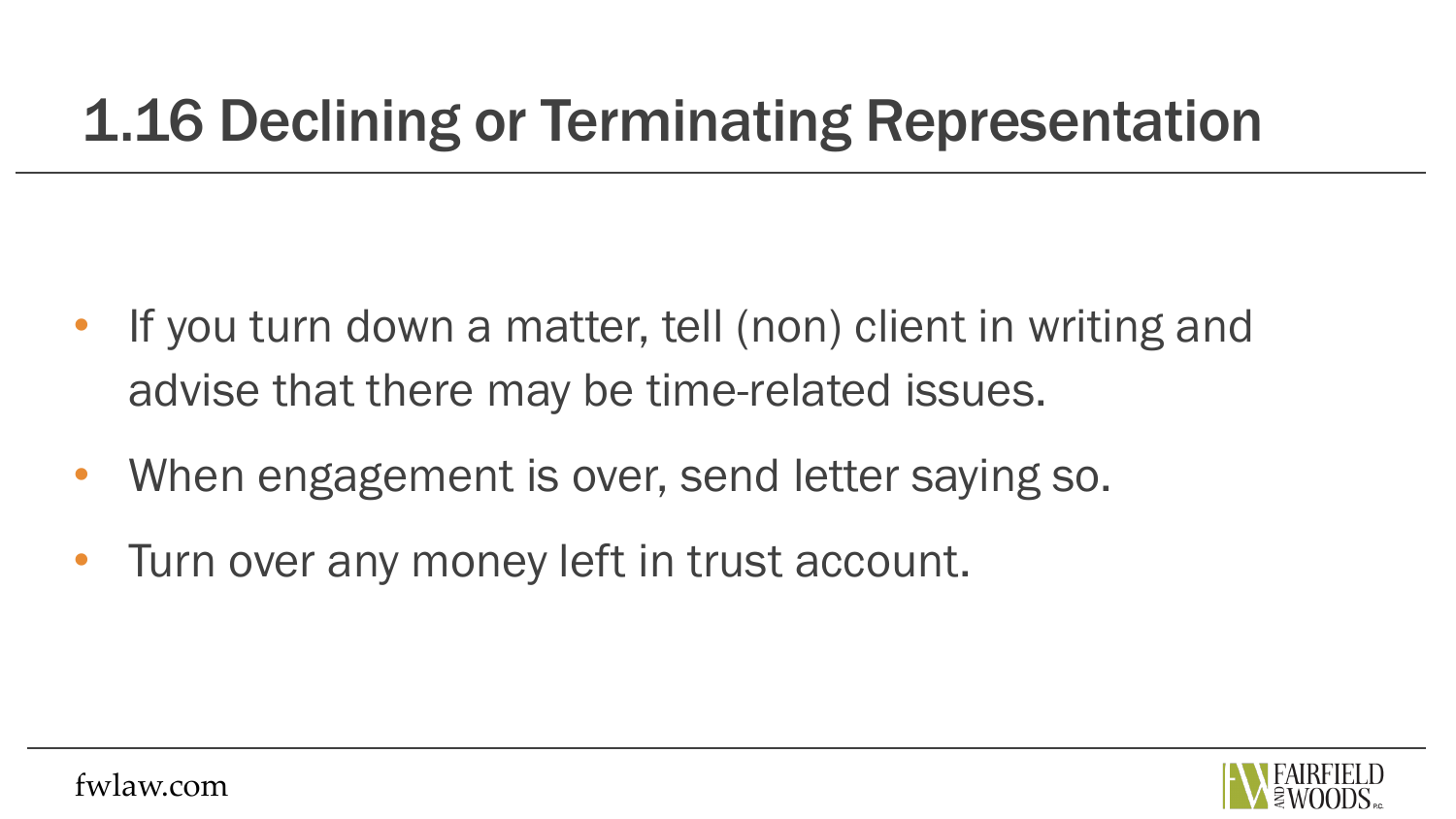#### 1.16 Declining or Terminating Representation

- If you turn down a matter, tell (non) client in writing and advise that there may be time-related issues.
- When engagement is over, send letter saying so.
- Turn over any money left in trust account.

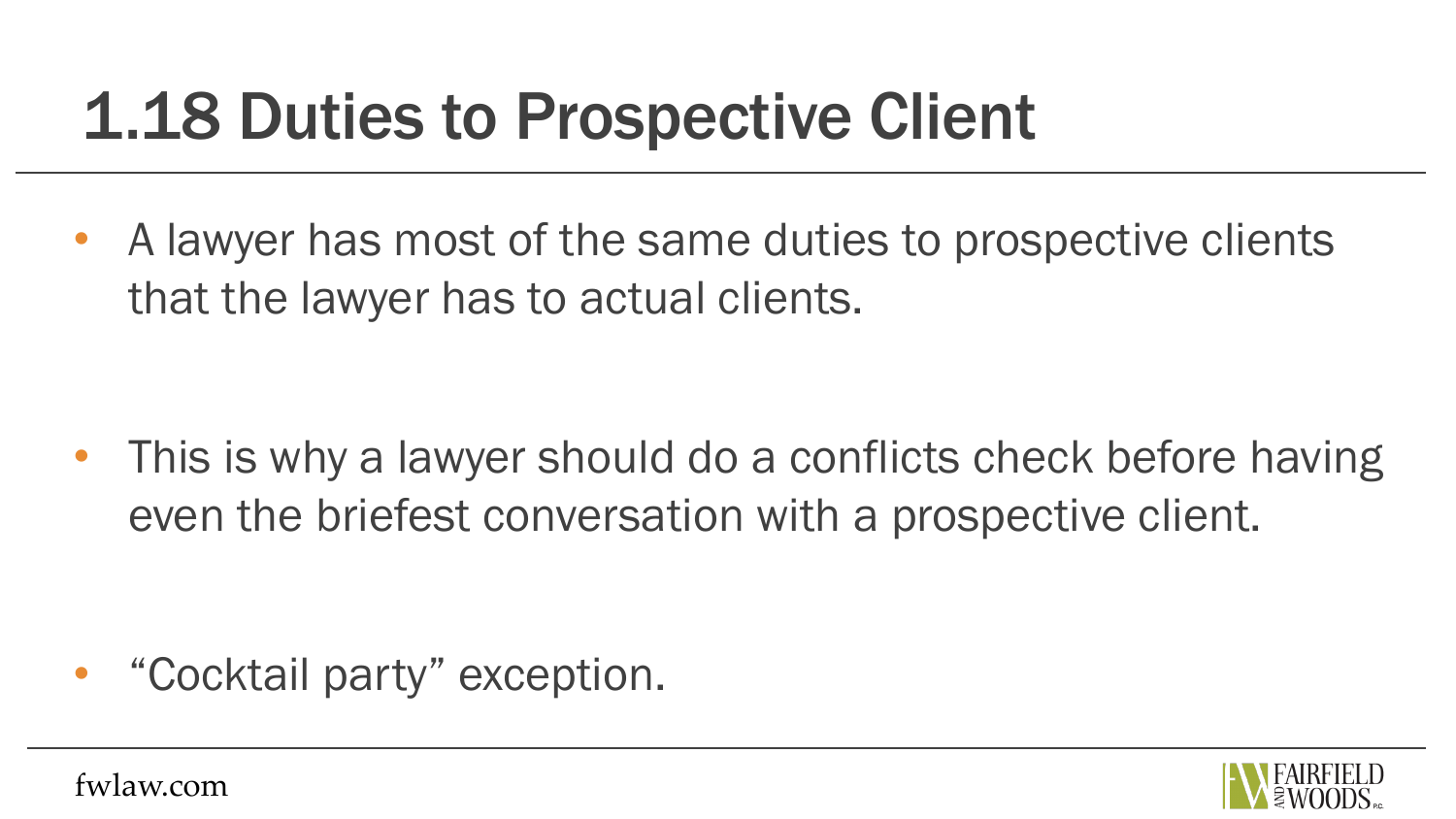## 1.18 Duties to Prospective Client

• A lawyer has most of the same duties to prospective clients that the lawyer has to actual clients.

• This is why a lawyer should do a conflicts check before having even the briefest conversation with a prospective client.

• "Cocktail party" exception.

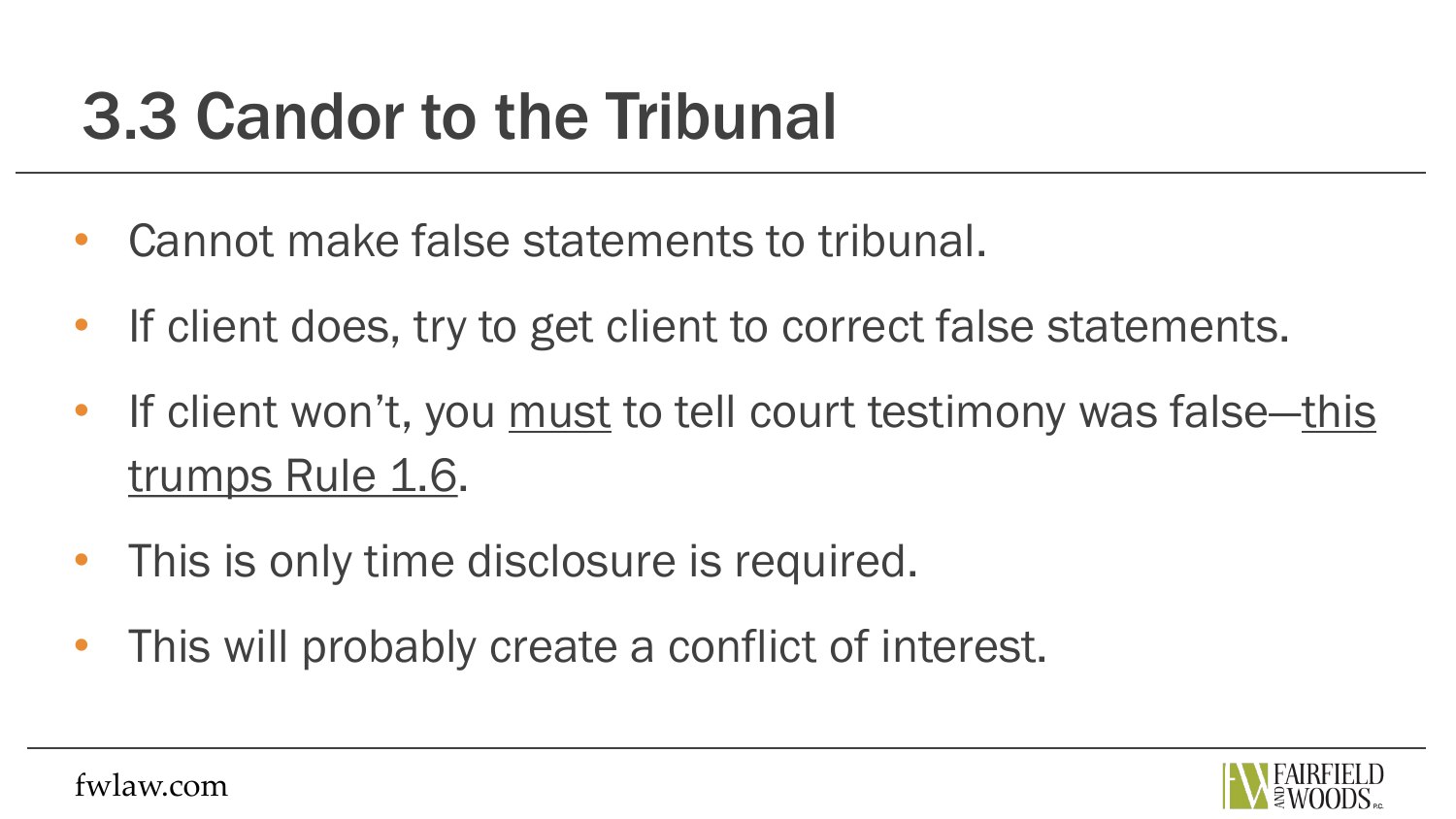### 3.3 Candor to the Tribunal

- Cannot make false statements to tribunal.
- If client does, try to get client to correct false statements.
- If client won't, you must to tell court testimony was false—this trumps Rule 1.6.
- This is only time disclosure is required.
- This will probably create a conflict of interest.

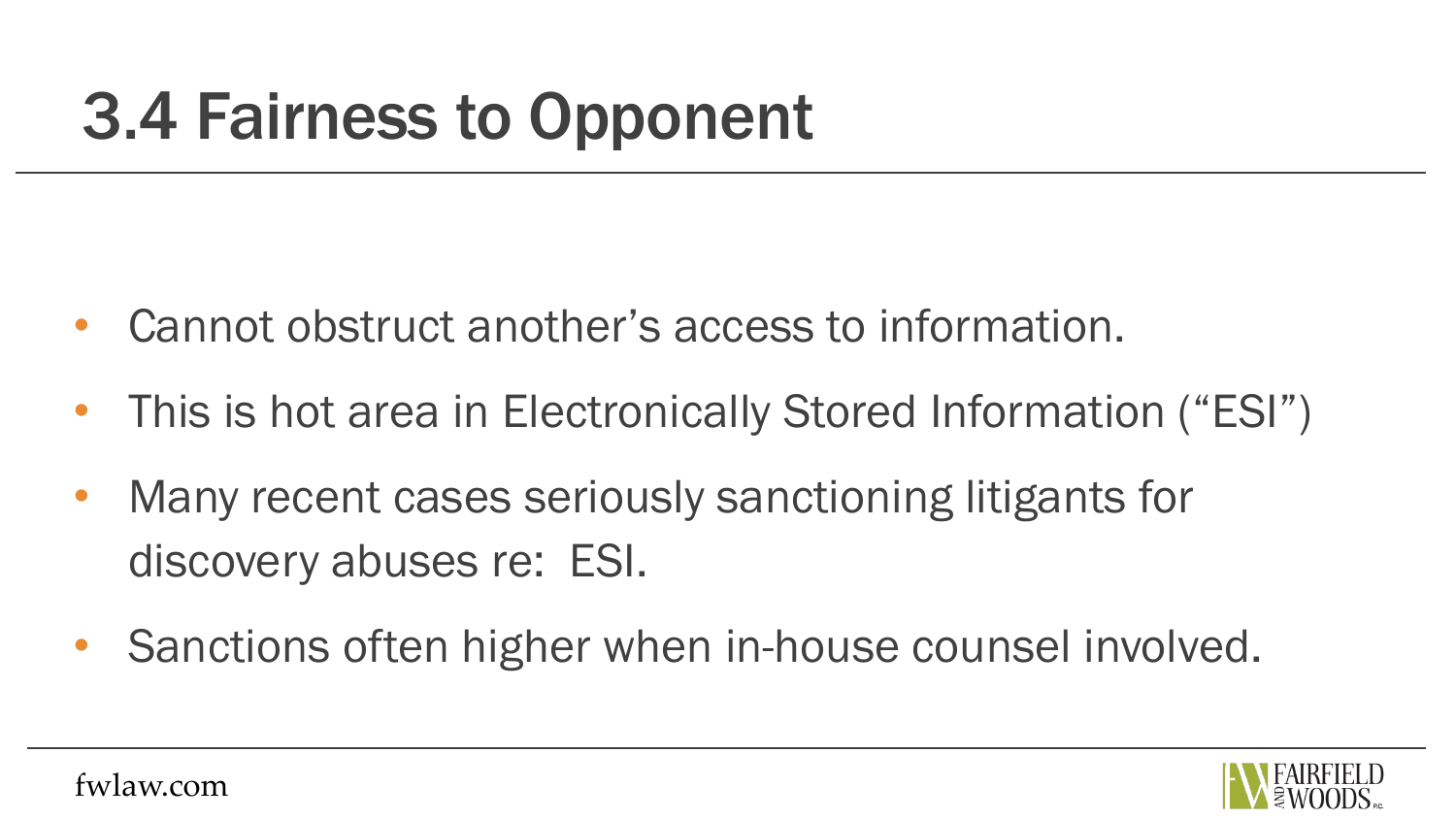## 3.4 Fairness to Opponent

- Cannot obstruct another's access to information.
- This is hot area in Electronically Stored Information ("ESI")
- Many recent cases seriously sanctioning litigants for discovery abuses re: ESI.
- Sanctions often higher when in-house counsel involved.

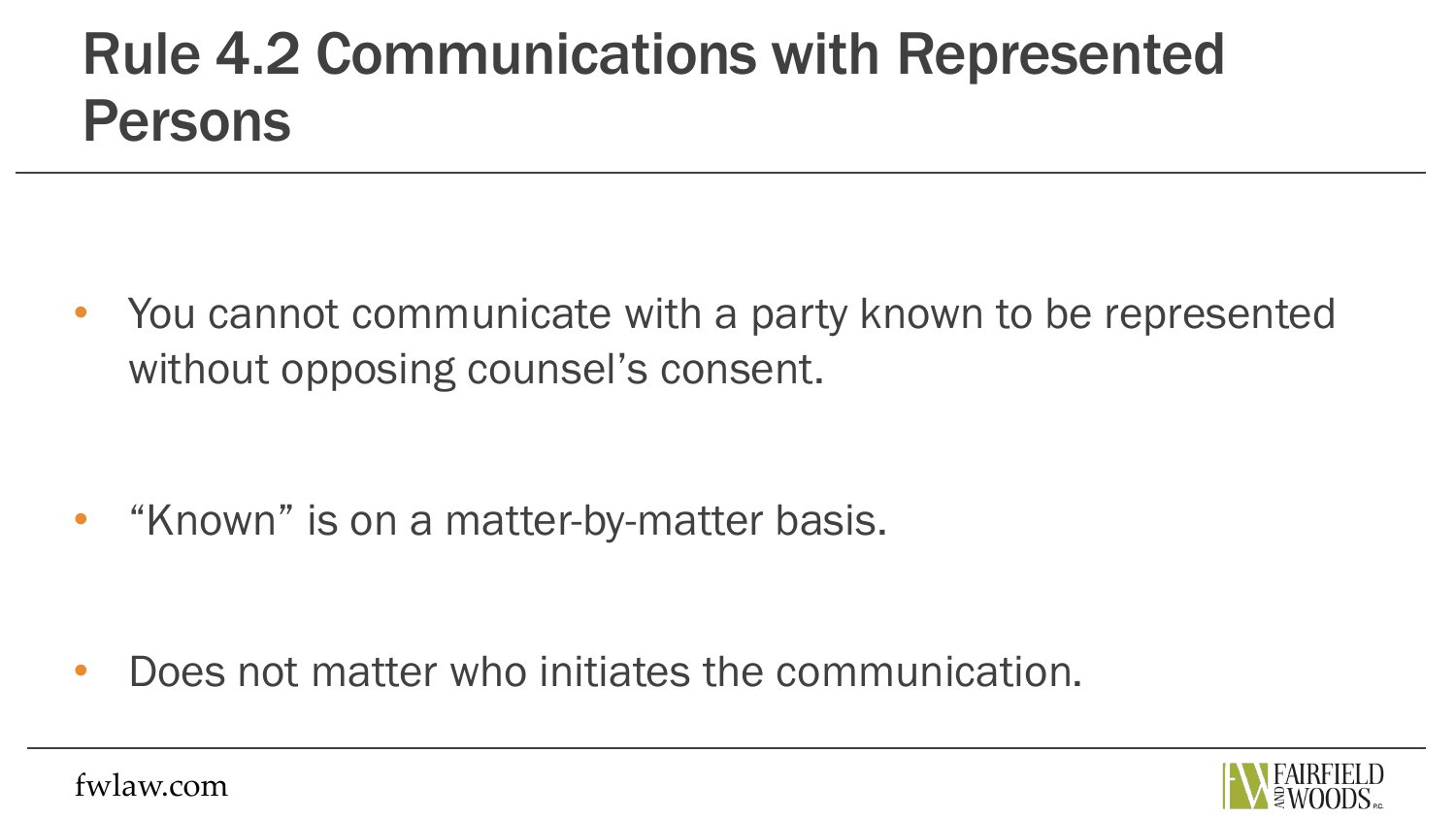#### Rule 4.2 Communications with Represented Persons

• You cannot communicate with a party known to be represented without opposing counsel's consent.

• "Known" is on a matter-by-matter basis.

• Does not matter who initiates the communication.

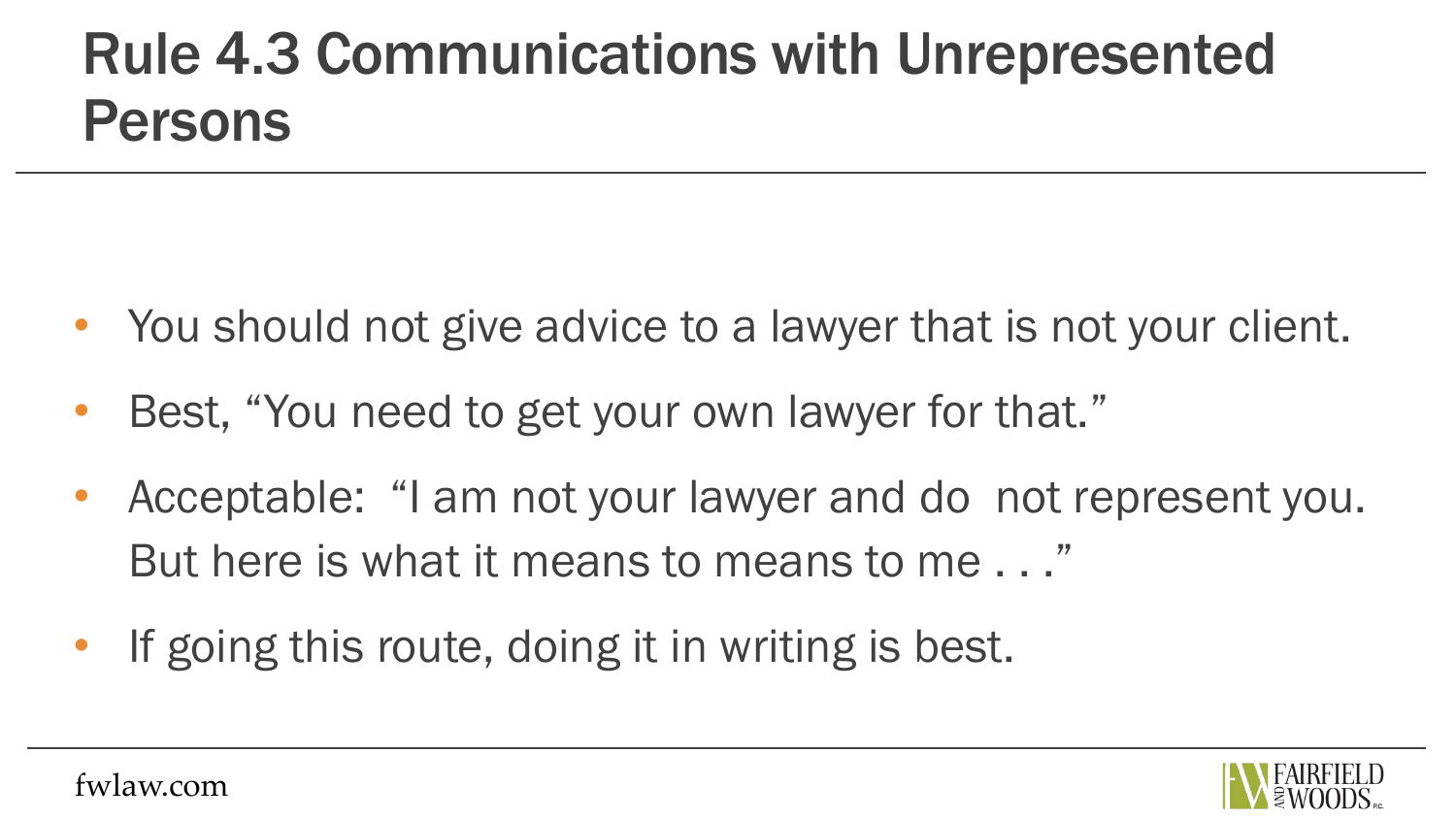#### Rule 4.3 Communications with Unrepresented Persons

- You should not give advice to a lawyer that is not your client.
- Best, "You need to get your own lawyer for that."
- Acceptable: "I am not your lawyer and do not represent you. But here is what it means to means to me . . ."
- If going this route, doing it in writing is best.

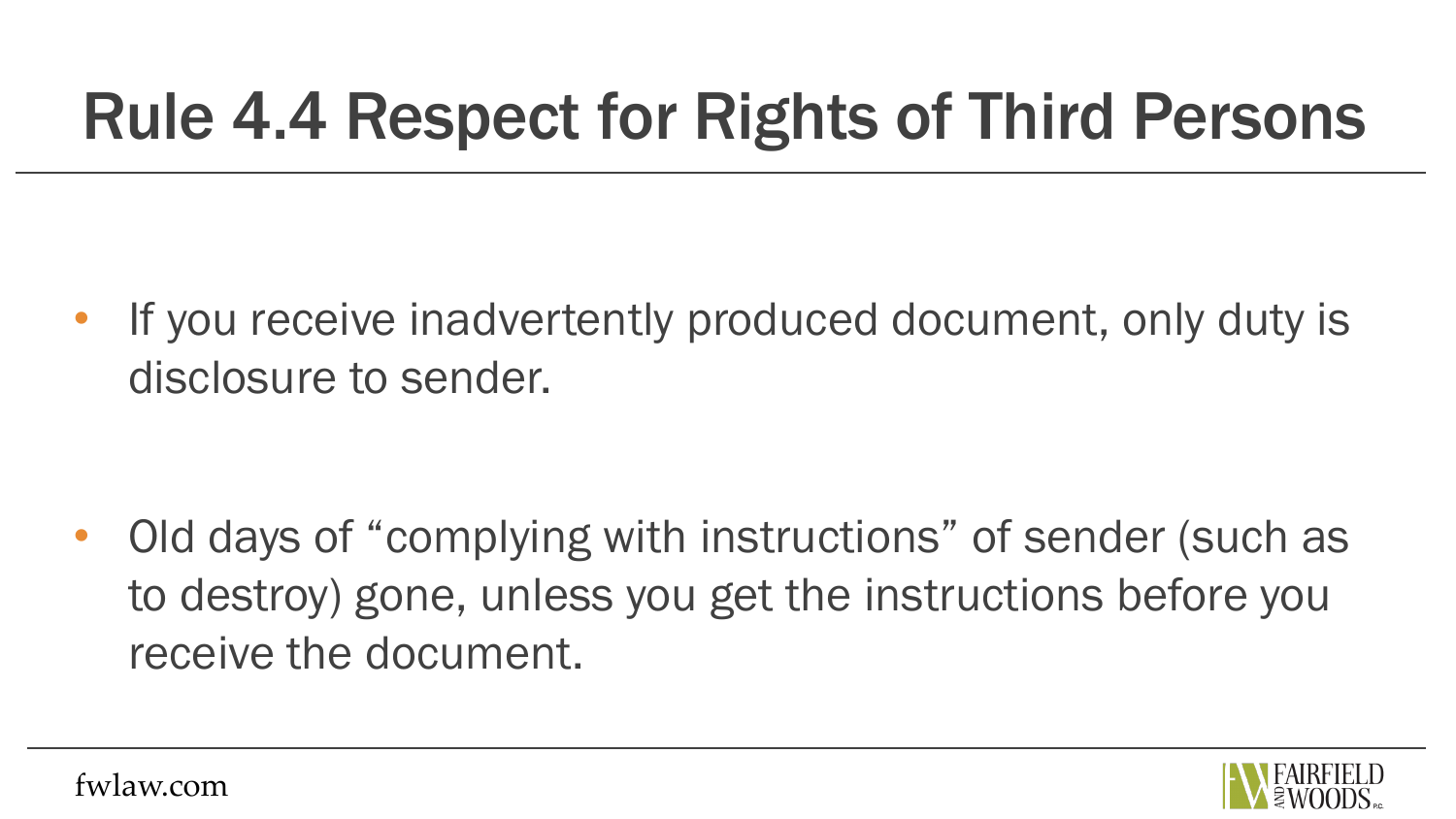## Rule 4.4 Respect for Rights of Third Persons

If you receive inadvertently produced document, only duty is disclosure to sender.

• Old days of "complying with instructions" of sender (such as to destroy) gone, unless you get the instructions before you receive the document.

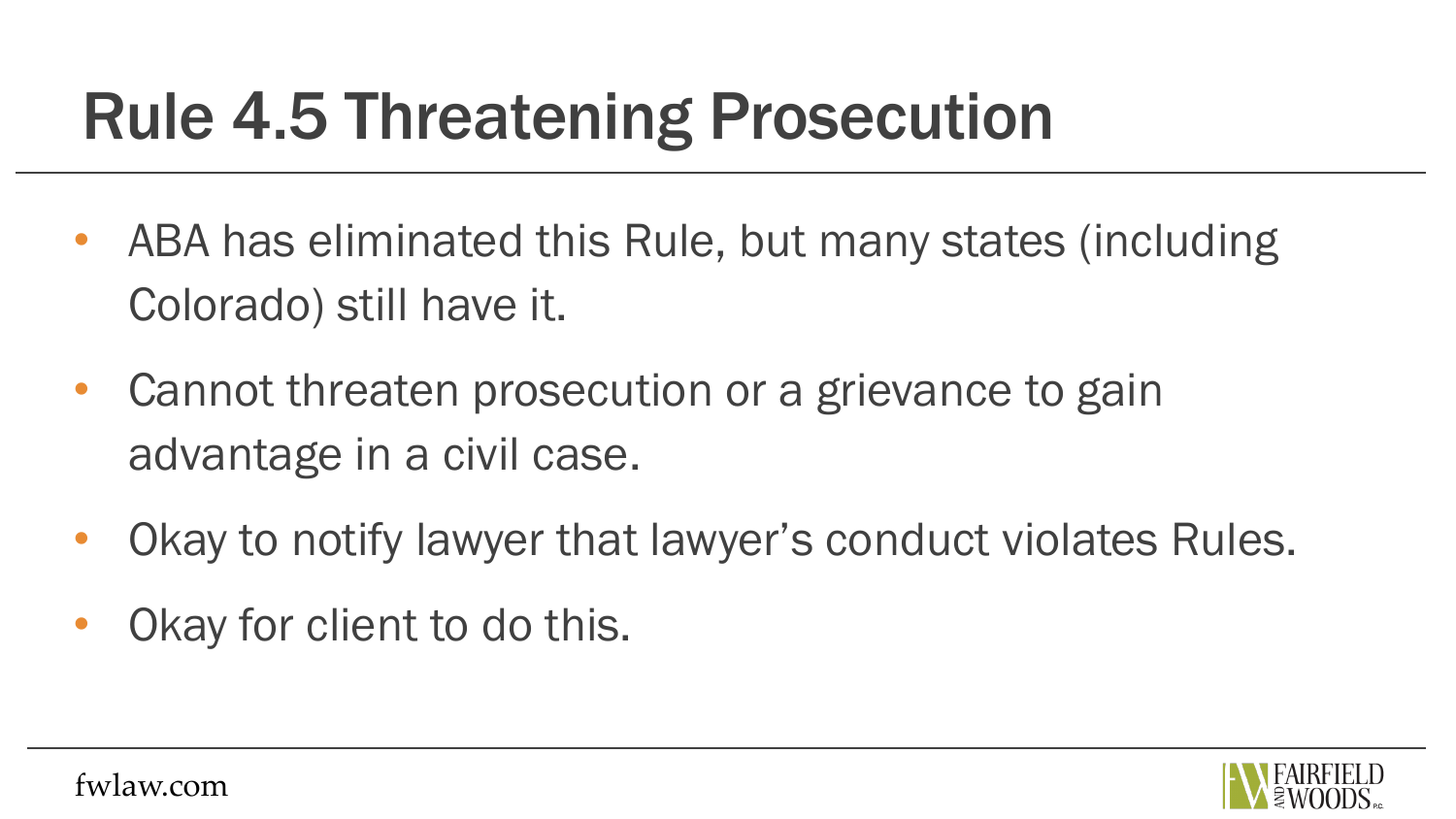## Rule 4.5 Threatening Prosecution

- ABA has eliminated this Rule, but many states (including Colorado) still have it.
- Cannot threaten prosecution or a grievance to gain advantage in a civil case.
- Okay to notify lawyer that lawyer's conduct violates Rules.
- Okay for client to do this.

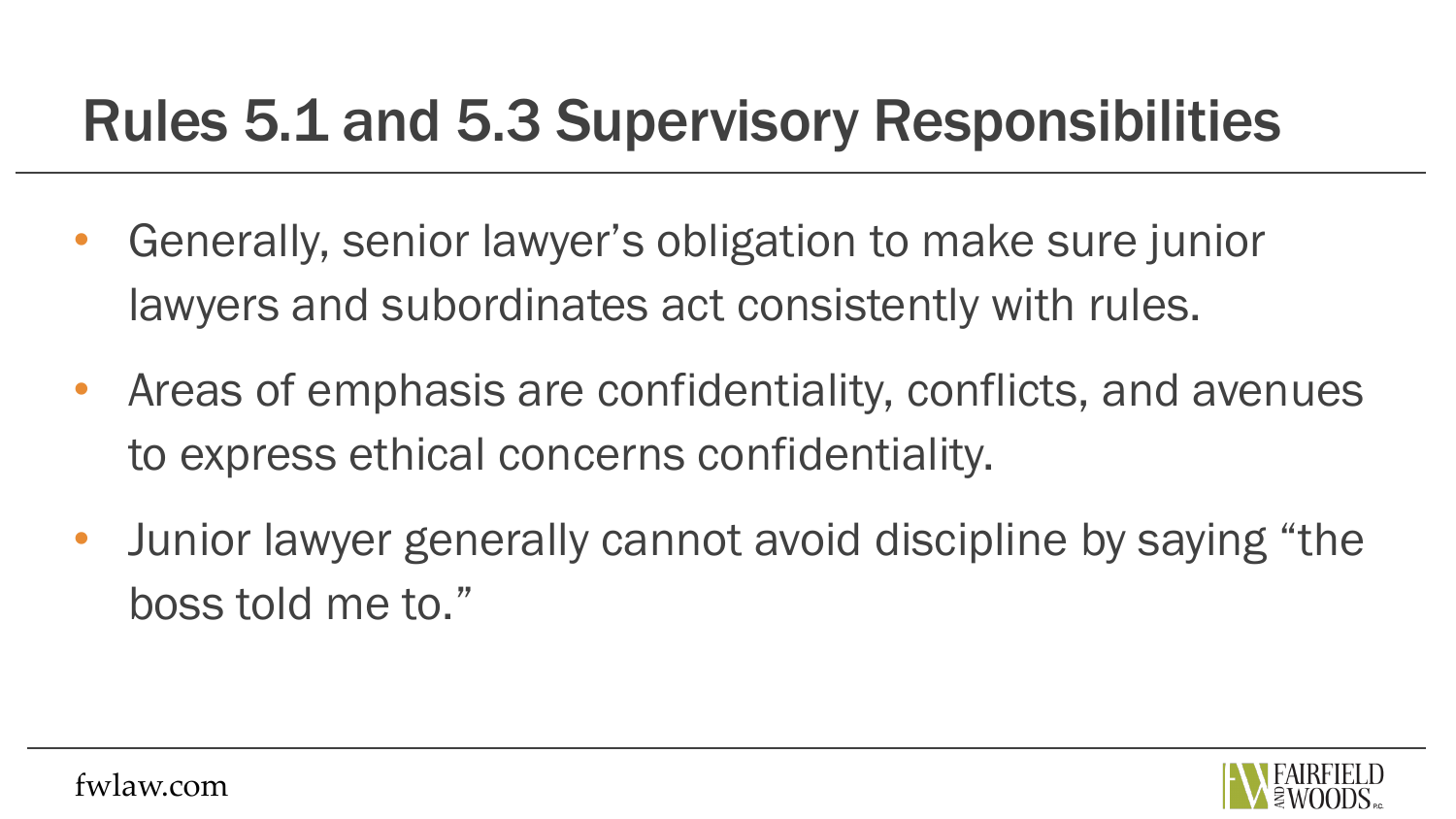#### Rules 5.1 and 5.3 Supervisory Responsibilities

- Generally, senior lawyer's obligation to make sure junior lawyers and subordinates act consistently with rules.
- Areas of emphasis are confidentiality, conflicts, and avenues to express ethical concerns confidentiality.
- Junior lawyer generally cannot avoid discipline by saying "the boss told me to."

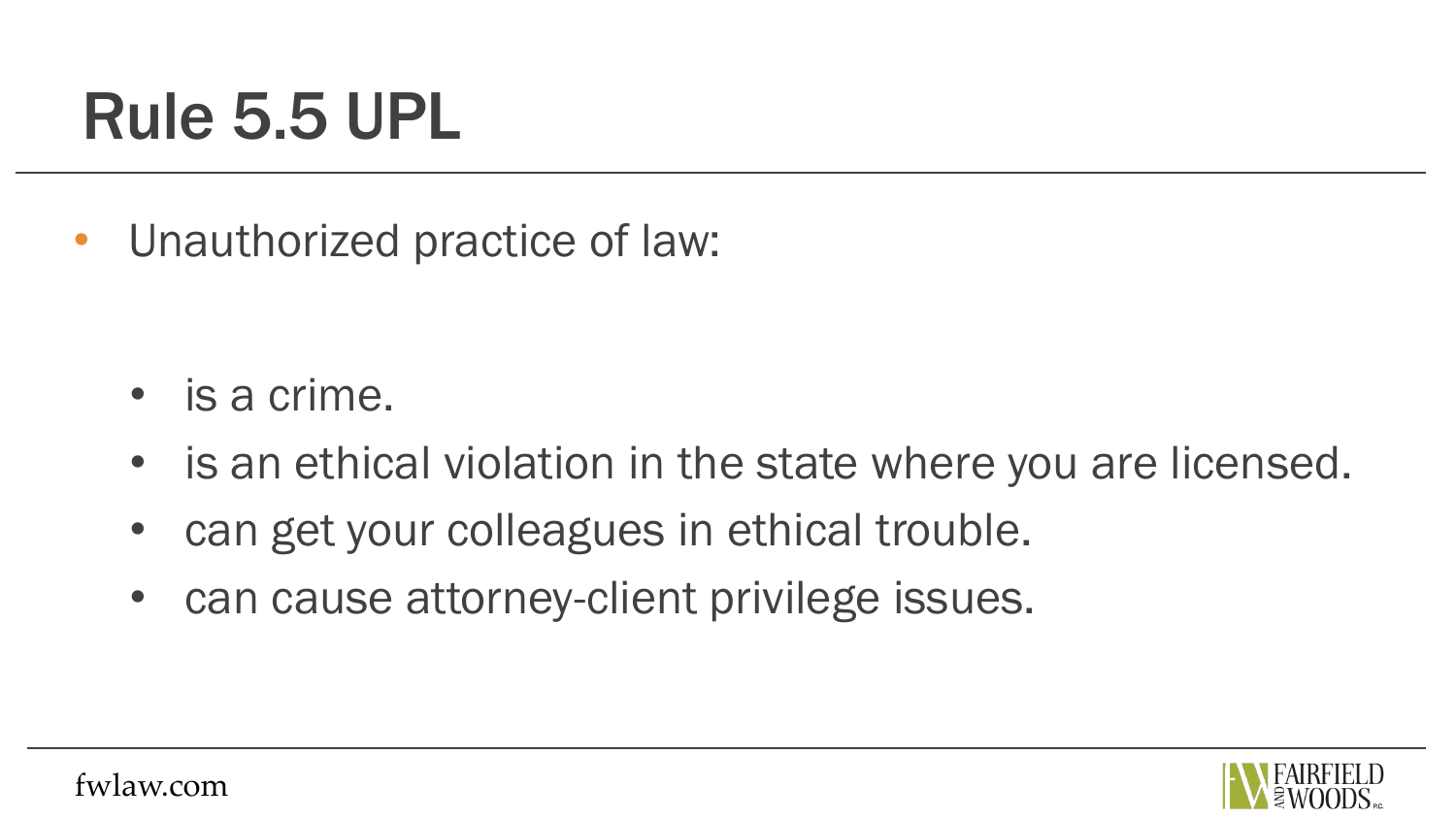#### Rule 5.5 UPL

• Unauthorized practice of law:

- is a crime.
- is an ethical violation in the state where you are licensed.
- can get your colleagues in ethical trouble.
- can cause attorney-client privilege issues.

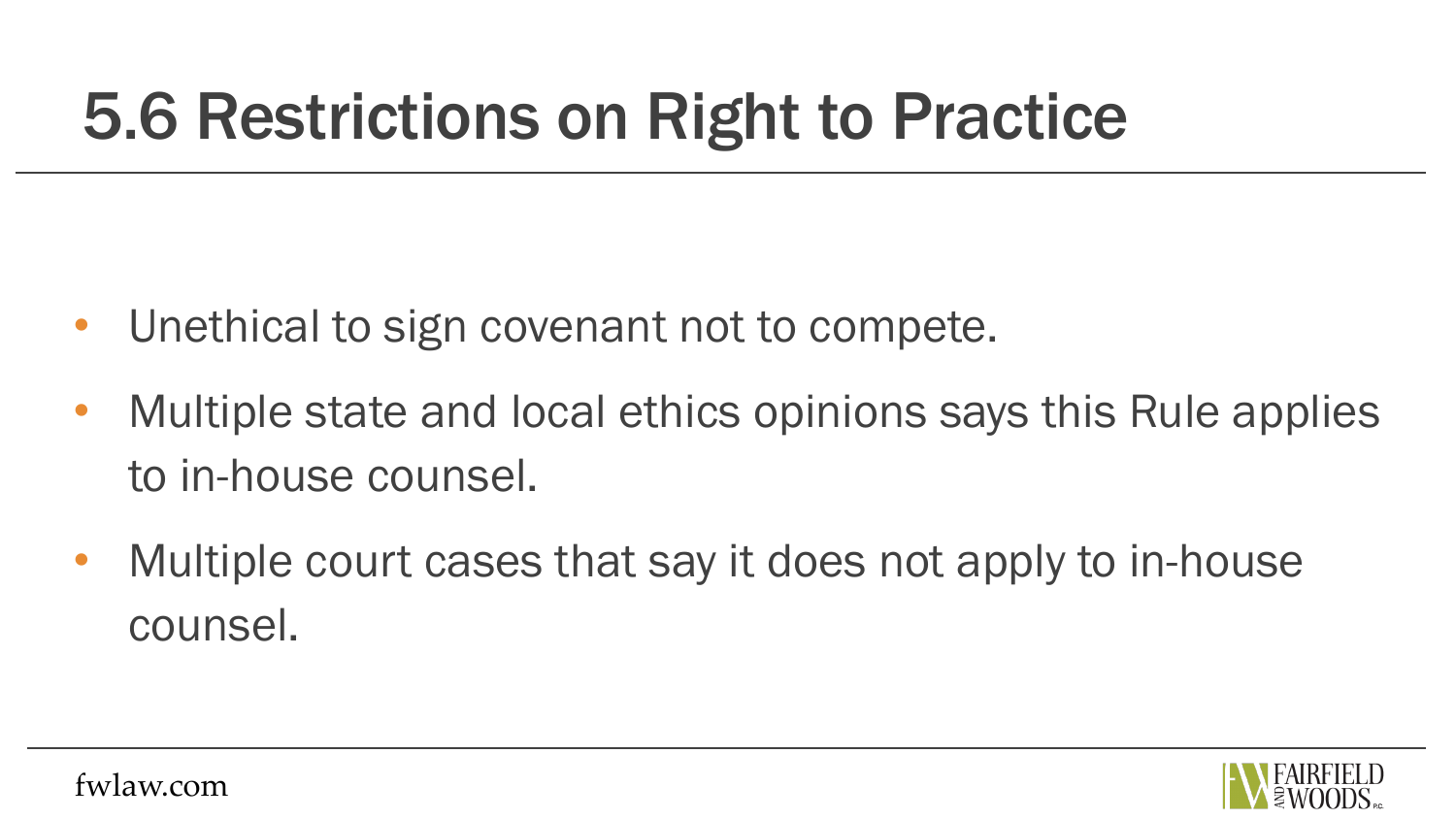## 5.6 Restrictions on Right to Practice

- Unethical to sign covenant not to compete.
- Multiple state and local ethics opinions says this Rule applies to in-house counsel.
- Multiple court cases that say it does not apply to in-house counsel.

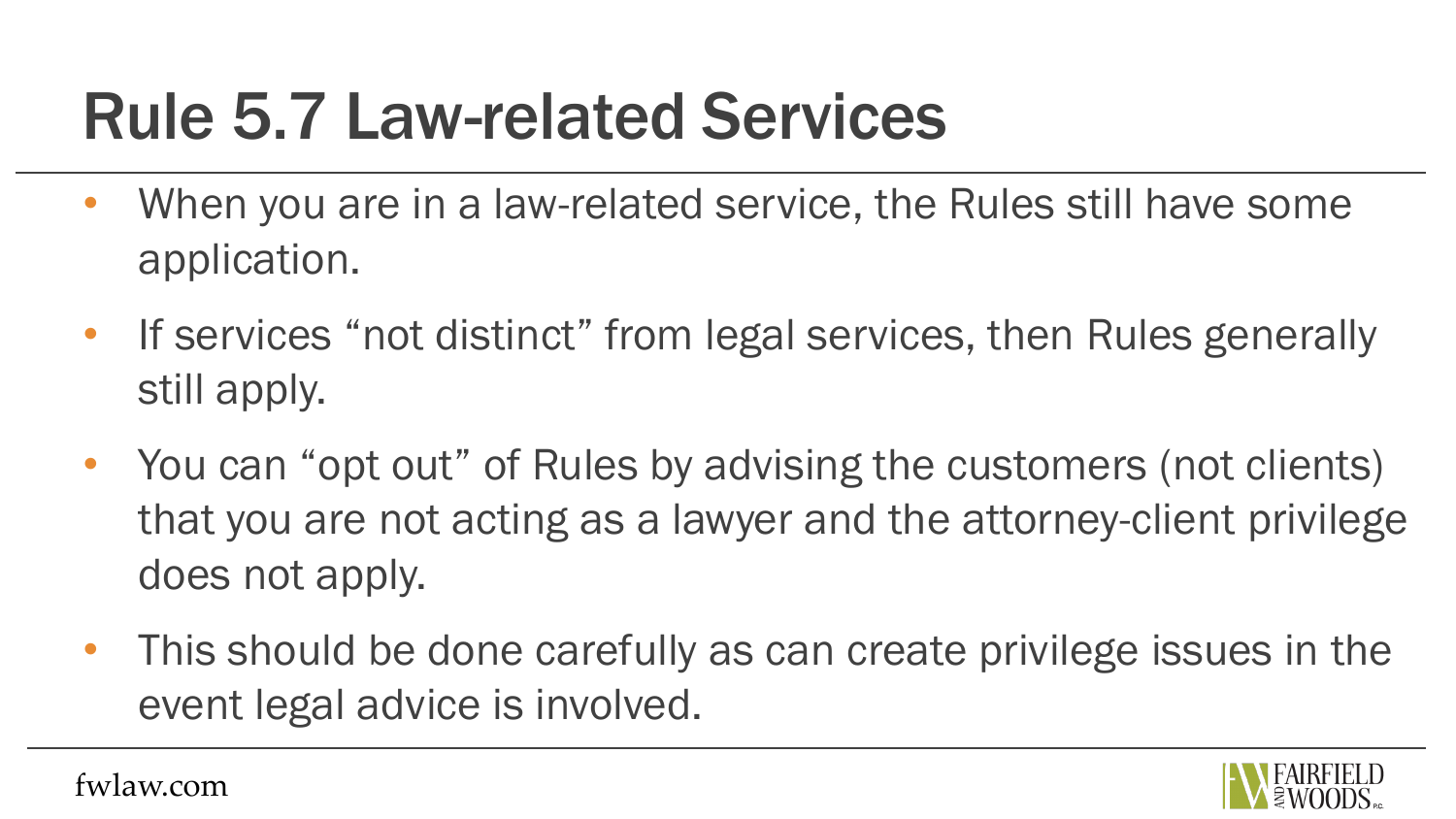#### Rule 5.7 Law-related Services

- When you are in a law-related service, the Rules still have some application.
- If services "not distinct" from legal services, then Rules generally still apply.
- You can "opt out" of Rules by advising the customers (not clients) that you are not acting as a lawyer and the attorney-client privilege does not apply.
- This should be done carefully as can create privilege issues in the event legal advice is involved.

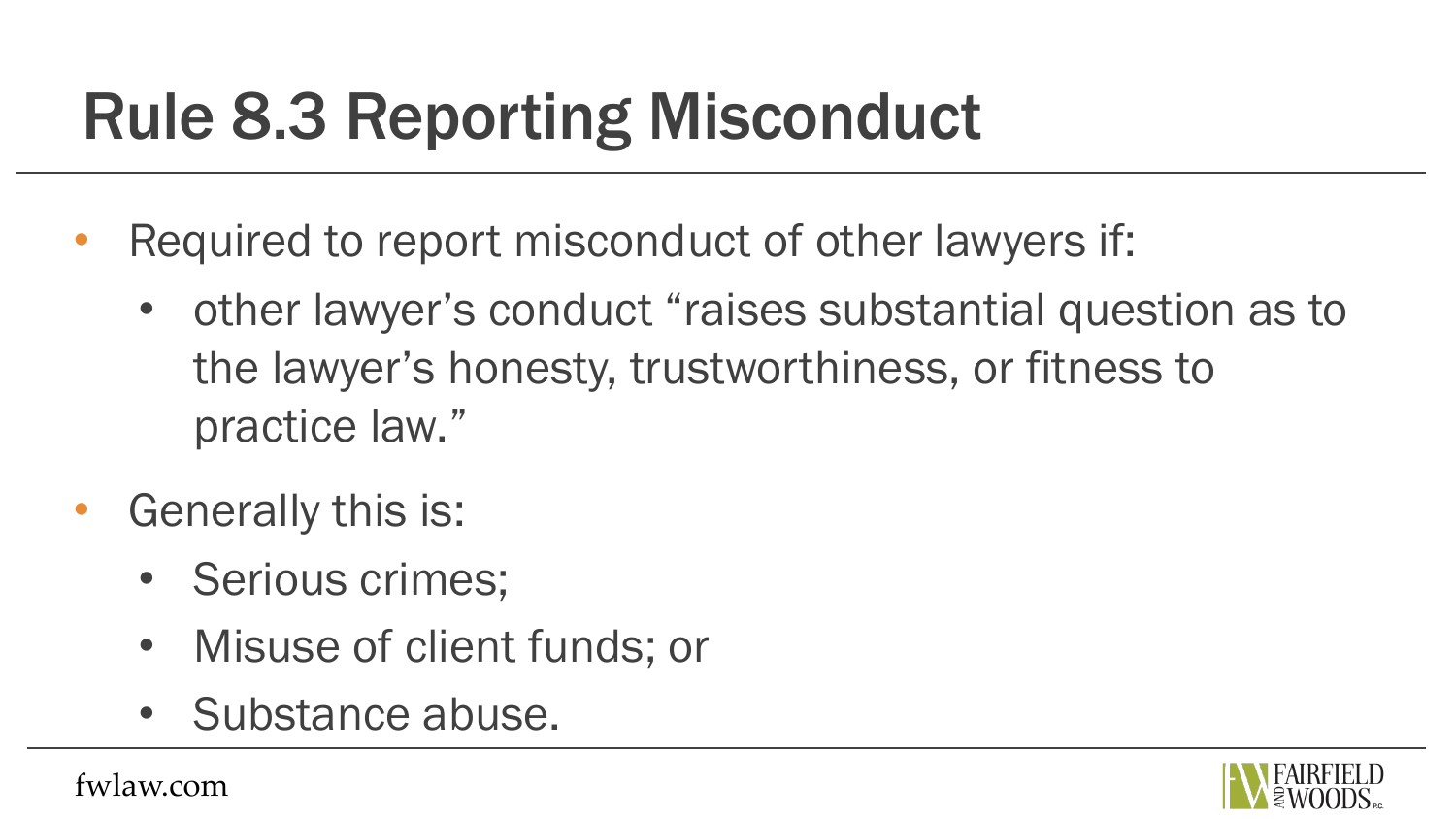## Rule 8.3 Reporting Misconduct

- Required to report misconduct of other lawyers if:
	- other lawyer's conduct "raises substantial question as to the lawyer's honesty, trustworthiness, or fitness to practice law."
- Generally this is:
	- Serious crimes;
	- Misuse of client funds; or
	- Substance abuse.

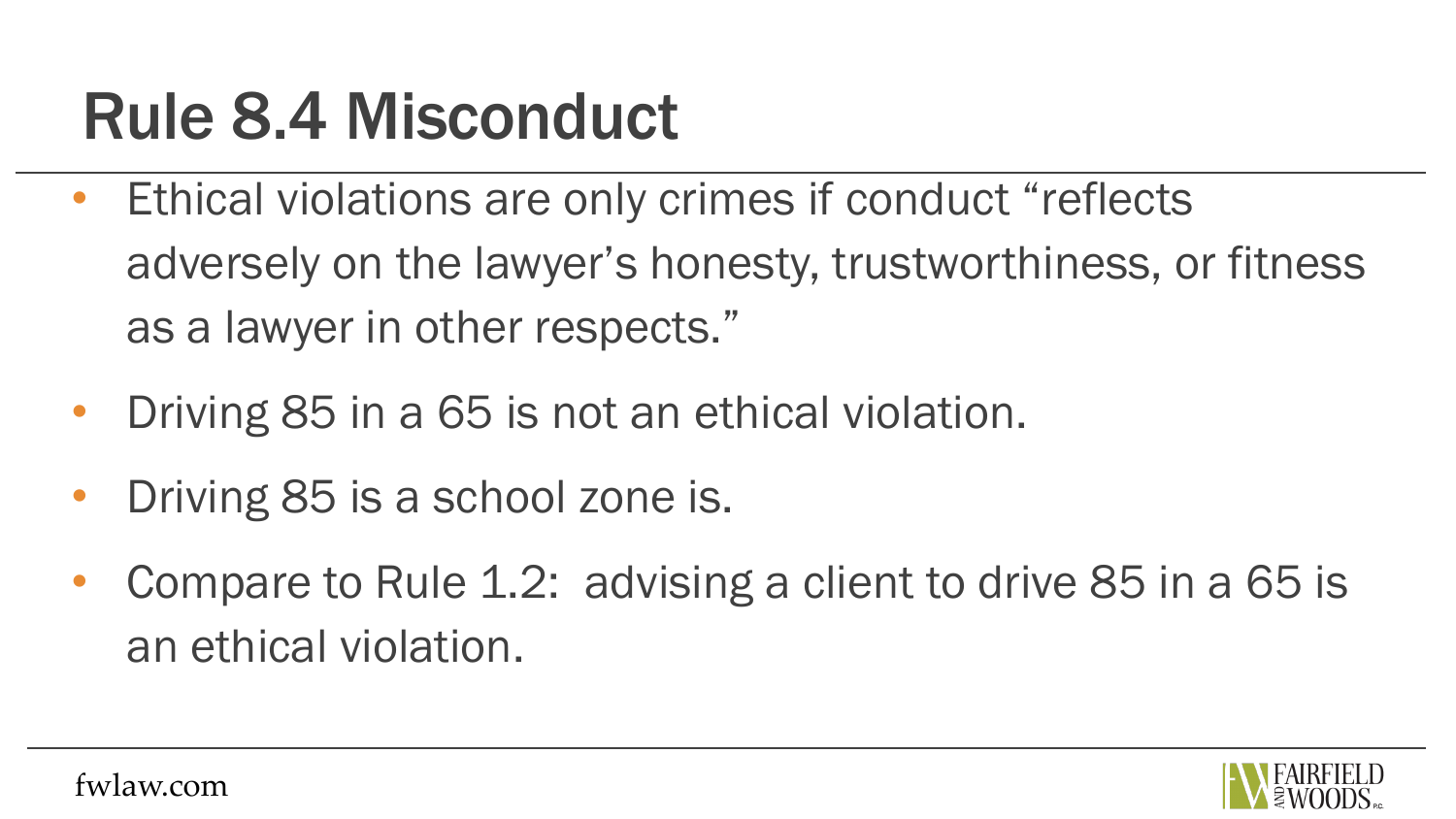### Rule 8.4 Misconduct

- Ethical violations are only crimes if conduct "reflects adversely on the lawyer's honesty, trustworthiness, or fitness as a lawyer in other respects."
- Driving 85 in a 65 is not an ethical violation.
- Driving 85 is a school zone is.
- Compare to Rule 1.2: advising a client to drive 85 in a 65 is an ethical violation.